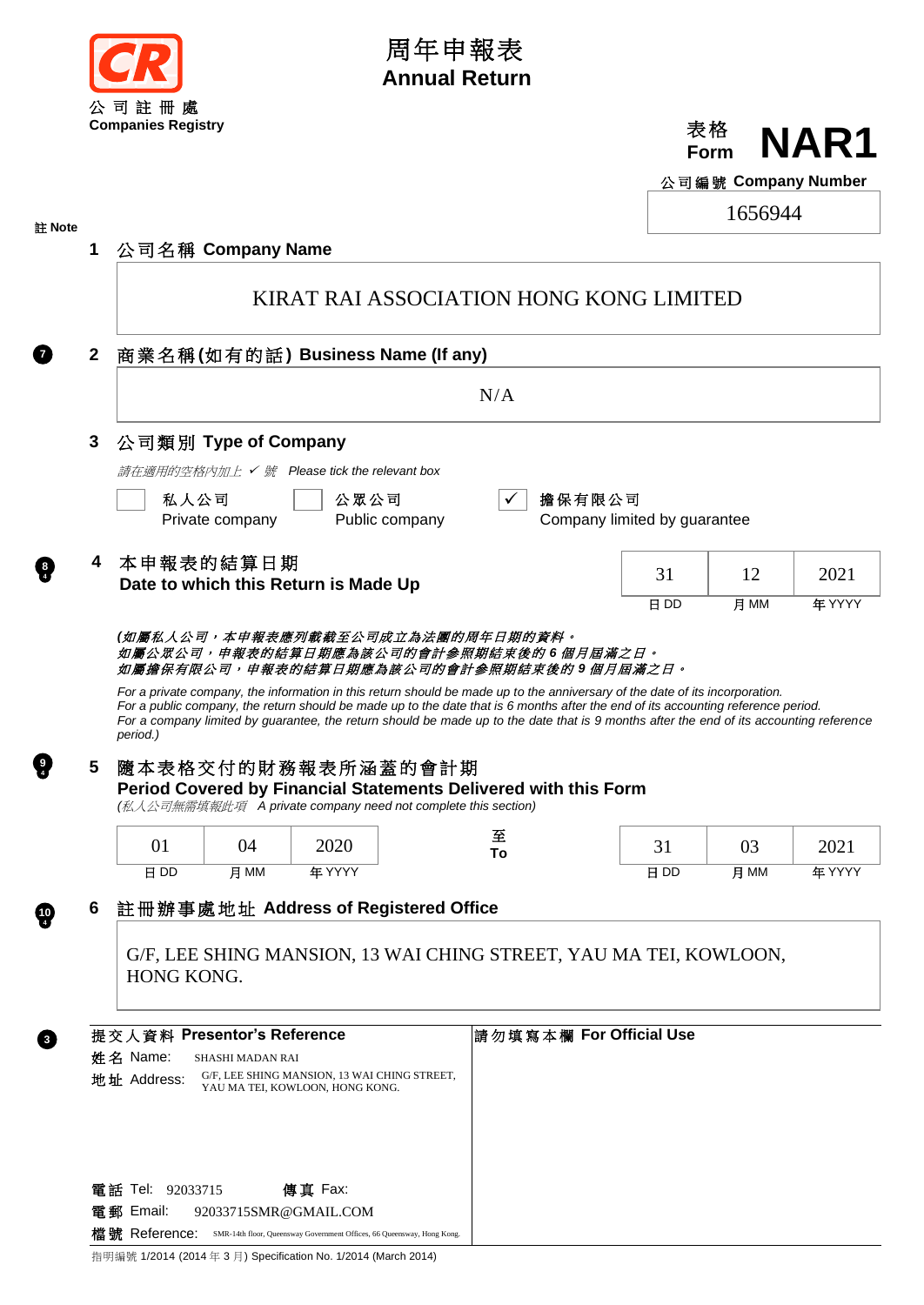

## 周年申報表 **Annual Return**



公司編號 **Company Number**

 $1656044$ 

| 註 Note |              |                             |                                   |                                                                                                                                                        |                |                         |                                        |      | 1000944 |        |  |  |  |
|--------|--------------|-----------------------------|-----------------------------------|--------------------------------------------------------------------------------------------------------------------------------------------------------|----------------|-------------------------|----------------------------------------|------|---------|--------|--|--|--|
|        | 1            | 公司名稱 Company Name           |                                   |                                                                                                                                                        |                |                         |                                        |      |         |        |  |  |  |
|        |              |                             |                                   | KIRAT RAI ASSOCIATION HONG KONG LIMITED                                                                                                                |                |                         |                                        |      |         |        |  |  |  |
|        | $\mathbf{2}$ |                             | 商業名稱(如有的話) Business Name (If any) |                                                                                                                                                        |                |                         |                                        |      |         |        |  |  |  |
|        |              | N/A                         |                                   |                                                                                                                                                        |                |                         |                                        |      |         |        |  |  |  |
|        | 3            | 公司類別 Type of Company        |                                   |                                                                                                                                                        |                |                         |                                        |      |         |        |  |  |  |
|        |              |                             |                                   | 請在適用的空格内加上 ✔ 號 Please tick the relevant box                                                                                                            |                |                         |                                        |      |         |        |  |  |  |
|        |              | 私人公司                        | Private company                   | 公眾公司                                                                                                                                                   | Public company |                         | 擔保有限公司<br>Company limited by guarantee |      |         |        |  |  |  |
|        |              | 本申報表的結算日期                   |                                   | Date to which this Return is Made Up                                                                                                                   |                |                         |                                        | 31   | 12      | 2021   |  |  |  |
|        |              |                             |                                   |                                                                                                                                                        |                |                         |                                        | 日 DD | 月 MM    | 年 YYYY |  |  |  |
|        | 5            |                             |                                   | 隨本表格交付的財務報表所涵蓋的會計期<br>Period Covered by Financial Statements Delivered with this Form<br>(私人公司無需填報此項 A private company need not complete this section) |                |                         |                                        |      |         |        |  |  |  |
|        |              | 01                          | 04                                | 2020                                                                                                                                                   |                | 至<br>To                 |                                        | 31   | 03      | 2021   |  |  |  |
|        |              | 日 DD                        | 月 MM                              | 年 YYYY                                                                                                                                                 |                |                         |                                        | 日 DD | 月 MM    | 年 YYYY |  |  |  |
|        | ס            |                             |                                   | 註冊辦事處地址 Address of Registered Office                                                                                                                   |                |                         |                                        |      |         |        |  |  |  |
|        |              | HONG KONG.                  |                                   | G/F, LEE SHING MANSION, 13 WAI CHING STREET, YAU MA TEI, KOWLOON,                                                                                      |                |                         |                                        |      |         |        |  |  |  |
|        |              | 提交人資料 Presentor's Reference |                                   |                                                                                                                                                        |                | 請勿填寫本欄 For Official Use |                                        |      |         |        |  |  |  |
|        |              | 姓名 Name:<br>地址 Address:     | <b>SHASHI MADAN RAI</b>           | G/F, LEE SHING MANSION, 13 WAI CHING STREET,<br>YAU MA TEI, KOWLOON, HONG KONG.                                                                        |                |                         |                                        |      |         |        |  |  |  |
|        |              | 電話 Tel: 92033715            |                                   | 傳真 Fax:                                                                                                                                                |                |                         |                                        |      |         |        |  |  |  |
|        |              | 電郵 Email:                   |                                   | 92033715SMR@GMAIL.COM                                                                                                                                  |                |                         |                                        |      |         |        |  |  |  |
|        |              |                             |                                   | 檔號 Reference: SMR-14th floor, Queensway Government Offices, 66 Queensway, Hong Kong.                                                                   |                |                         |                                        |      |         |        |  |  |  |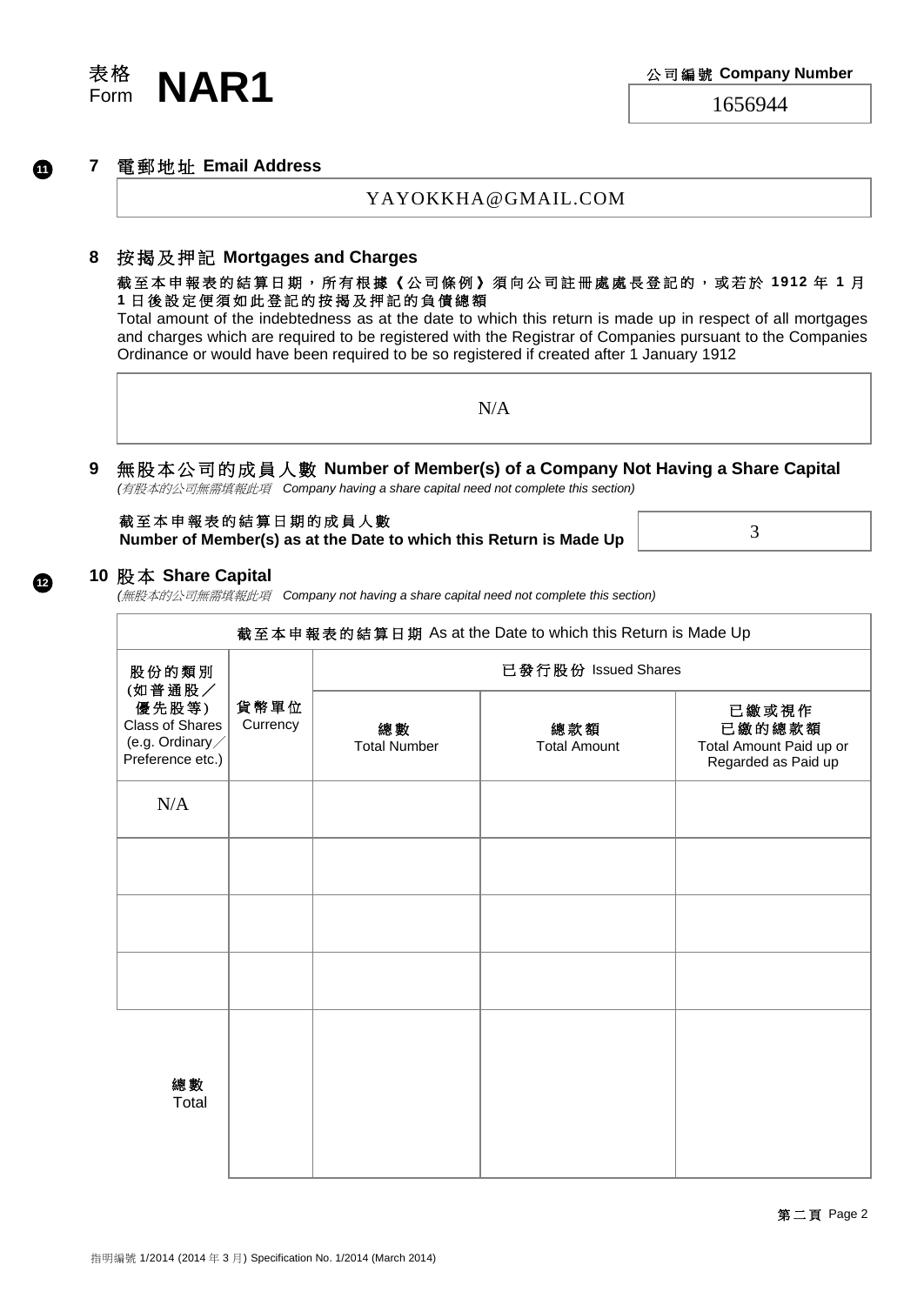

**12**

#### **7** 電 郵 地 址 **Email Address**

YAYOKKHA@GMAIL.COM

#### **8** 按 揭 及 押 記 **Mortgages and Charges**

#### 截 至 本 申 報 表 的結算 日 期 , 所 有 根 據 《 公 司 條 例 》 須 向 公 司 註 冊 處 處 長 登 記 的 ,或若於 **1912** 年 **1** 月 **1** 日 後 設 定 便 須 如 此 登 記 的 按 揭 及 押 記 的 負 債 總 額

Total amount of the indebtedness as at the date to which this return is made up in respect of all mortgages and charges which are required to be registered with the Registrar of Companies pursuant to the Companies Ordinance or would have been required to be so registered if created after 1 January 1912

N/A

# **9** 無 股 本 公 司 的 成 員 人 數 **Number of Member(s) of a Company Not Having a Share Capital**

*(*有股本的公司無需填報此項 *Company having a share capital need not complete this section)*

| 截至本申報表的結算日期的成員人數                                                   |  |
|--------------------------------------------------------------------|--|
| Number of Member(s) as at the Date to which this Return is Made Up |  |

3

#### **10** 股 本 **Share Capital**

*(*無股本的公司無需填報此項 *Company not having a share capital need not complete this section)*

|                                                                                 |                  |                           | 截至本申報表的結算日期 As at the Date to which this Return is Made Up |                                                                   |  |  |  |  |  |  |
|---------------------------------------------------------------------------------|------------------|---------------------------|------------------------------------------------------------|-------------------------------------------------------------------|--|--|--|--|--|--|
| 股份的類別                                                                           |                  | 已發行股份 Issued Shares       |                                                            |                                                                   |  |  |  |  |  |  |
| (如普通股/<br>優先股等)<br><b>Class of Shares</b><br>(e.g. Ordinary<br>Preference etc.) | 貨幣單位<br>Currency | 總數<br><b>Total Number</b> | 總款額<br><b>Total Amount</b>                                 | 已繳或視作<br>已繳的總款額<br>Total Amount Paid up or<br>Regarded as Paid up |  |  |  |  |  |  |
| N/A                                                                             |                  |                           |                                                            |                                                                   |  |  |  |  |  |  |
|                                                                                 |                  |                           |                                                            |                                                                   |  |  |  |  |  |  |
|                                                                                 |                  |                           |                                                            |                                                                   |  |  |  |  |  |  |
|                                                                                 |                  |                           |                                                            |                                                                   |  |  |  |  |  |  |
| 總數<br>Total                                                                     |                  |                           |                                                            |                                                                   |  |  |  |  |  |  |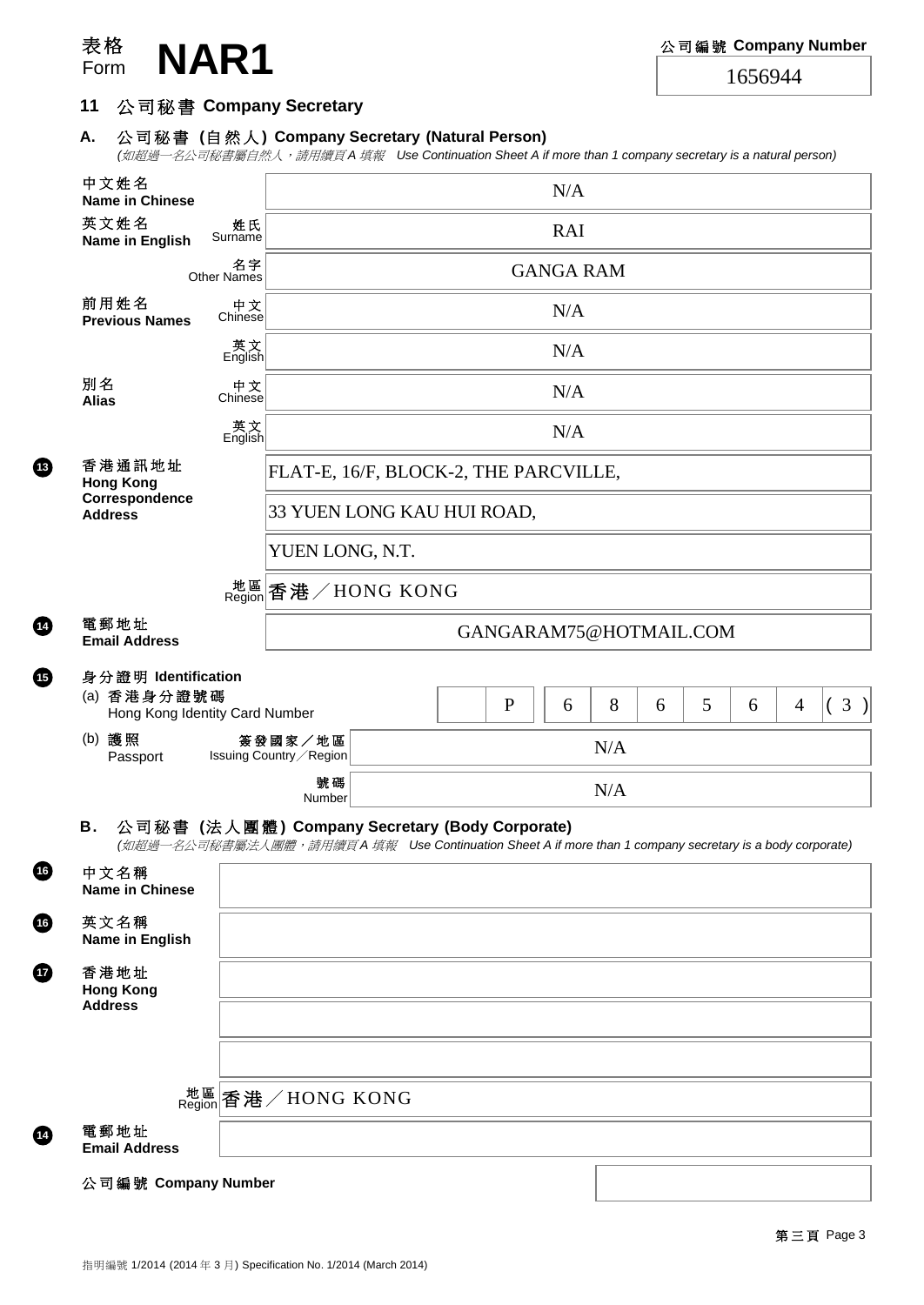

**13**

**15**

**16**

**16**

**12** 

**14**

## **11** 公 司 秘 書 **Company Secretary**

# **A.** 公 司 秘 書 **(**自然人 **) Company Secretary (Natural Person)**

*(*如超過一名公司秘書屬自然人,請用續頁 *A* 填報 *Use Continuation Sheet A if more than 1 company secretary is a natural person)*

|                                                                      |                          | ( <i>如心迥一石公可忪音圈目然入 ' 胡用領貝 A 填</i> 揿 Ose Continuation Sheet A in more than T company secretary is a natural person) |                                       |  |              |                        |     |   |   |   |                |  |          |
|----------------------------------------------------------------------|--------------------------|--------------------------------------------------------------------------------------------------------------------|---------------------------------------|--|--------------|------------------------|-----|---|---|---|----------------|--|----------|
| 中文姓名<br><b>Name in Chinese</b>                                       |                          |                                                                                                                    |                                       |  |              | N/A                    |     |   |   |   |                |  |          |
| 英文姓名<br>Name in English                                              | 姓氏<br>Surname            |                                                                                                                    | <b>RAI</b>                            |  |              |                        |     |   |   |   |                |  |          |
|                                                                      | 名字<br><b>Other Names</b> | <b>GANGA RAM</b>                                                                                                   |                                       |  |              |                        |     |   |   |   |                |  |          |
| 前用姓名<br><b>Previous Names</b>                                        | 中文<br>Chinese            |                                                                                                                    |                                       |  |              | N/A                    |     |   |   |   |                |  |          |
|                                                                      | _英文<br>English           |                                                                                                                    |                                       |  |              | N/A                    |     |   |   |   |                |  |          |
| 別名<br><b>Alias</b>                                                   | 中文<br>Chinese            |                                                                                                                    |                                       |  |              | N/A                    |     |   |   |   |                |  |          |
|                                                                      | _英文<br>English           |                                                                                                                    |                                       |  |              | N/A                    |     |   |   |   |                |  |          |
| 香港通訊地址<br><b>Hong Kong</b>                                           |                          |                                                                                                                    | FLAT-E, 16/F, BLOCK-2, THE PARCVILLE, |  |              |                        |     |   |   |   |                |  |          |
| Correspondence<br><b>Address</b>                                     |                          |                                                                                                                    | 33 YUEN LONG KAU HUI ROAD,            |  |              |                        |     |   |   |   |                |  |          |
|                                                                      |                          | YUEN LONG, N.T.                                                                                                    |                                       |  |              |                        |     |   |   |   |                |  |          |
|                                                                      |                          | <sup>地區</sup> 香港/HONG KONG                                                                                         |                                       |  |              |                        |     |   |   |   |                |  |          |
| 電郵地址<br><b>Email Address</b>                                         |                          |                                                                                                                    |                                       |  |              | GANGARAM75@HOTMAIL.COM |     |   |   |   |                |  |          |
| 身分證明 Identification<br>(a) 香港身分證號碼<br>Hong Kong Identity Card Number |                          |                                                                                                                    |                                       |  | $\mathbf{P}$ | 6                      | 8   | 6 | 5 | 6 | $\overline{4}$ |  | $3 \mid$ |
| (b) 護照<br>Passport                                                   |                          | 簽發國家/地區<br>Issuing Country / Region                                                                                |                                       |  |              | N/A                    |     |   |   |   |                |  |          |
|                                                                      |                          | 號碼<br>Number                                                                                                       |                                       |  |              |                        | N/A |   |   |   |                |  |          |
| 公司秘書 (法人團體) Company Secretary (Body Corporate)<br>В.                 |                          |                                                                                                                    |                                       |  |              |                        |     |   |   |   |                |  |          |
| 中文名稱<br><b>Name in Chinese</b>                                       |                          | (如超過一名公司秘書屬法人團體,請用續頁 A 填報 Use Continuation Sheet A if more than 1 company secretary is a body corporate)           |                                       |  |              |                        |     |   |   |   |                |  |          |
| 英文名稱<br>Name in English                                              |                          |                                                                                                                    |                                       |  |              |                        |     |   |   |   |                |  |          |
| 香港地址<br><b>Hong Kong</b><br><b>Address</b>                           |                          |                                                                                                                    |                                       |  |              |                        |     |   |   |   |                |  |          |
|                                                                      |                          |                                                                                                                    |                                       |  |              |                        |     |   |   |   |                |  |          |
|                                                                      |                          | <sup>地區</sup> 香港/HONG KONG                                                                                         |                                       |  |              |                        |     |   |   |   |                |  |          |
| 電郵地址<br><b>Email Address</b>                                         |                          |                                                                                                                    |                                       |  |              |                        |     |   |   |   |                |  |          |
| 公司編號 Company Number                                                  |                          |                                                                                                                    |                                       |  |              |                        |     |   |   |   |                |  |          |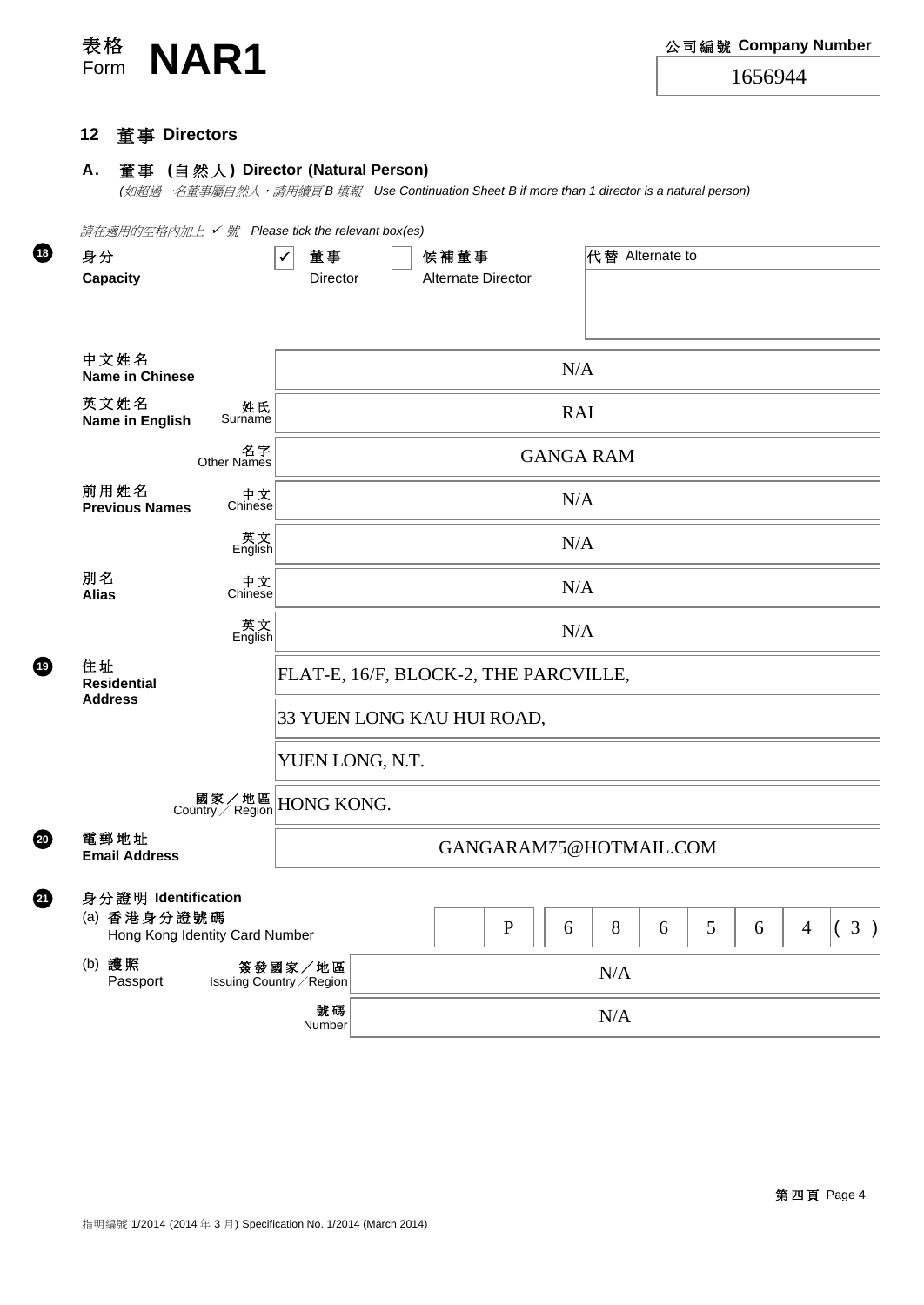

#### **12** 董 事 **Directors**

**19**

**18**

**20**

**21**

#### **A.** 董 事 **(**自然人 **) Director (Natural Person)**

*(*如超過一名董事屬自然人,請用續頁 *B* 填報 *Use Continuation Sheet B if more than 1 director is a natural person)*

| 請在適用的空格內加上 ✔ 號 Please tick the relevant box(es)<br>身分 |                                                  | 董事<br>✓                               |     | 候補董事        |   |            |   | 代替 Alternate to |   |                |                |  |
|-------------------------------------------------------|--------------------------------------------------|---------------------------------------|-----|-------------|---|------------|---|-----------------|---|----------------|----------------|--|
| <b>Capacity</b>                                       | Alternate Director<br>Director                   |                                       |     |             |   |            |   |                 |   |                |                |  |
|                                                       |                                                  |                                       |     |             |   |            |   |                 |   |                |                |  |
| 中文姓名<br><b>Name in Chinese</b>                        |                                                  |                                       |     |             |   | N/A        |   |                 |   |                |                |  |
| 英文姓名<br>Name in English                               | 姓氏<br>Surname                                    |                                       |     |             |   | <b>RAI</b> |   |                 |   |                |                |  |
|                                                       | 名字<br>Other Names                                | <b>GANGA RAM</b>                      |     |             |   |            |   |                 |   |                |                |  |
| 前用姓名<br><b>Previous Names</b>                         | 中文<br>Chinese                                    |                                       |     |             |   | N/A        |   |                 |   |                |                |  |
|                                                       | 英<br>Kinglish                                    | N/A                                   |     |             |   |            |   |                 |   |                |                |  |
| 別名<br><b>Alias</b>                                    | 中文<br>Chinese                                    |                                       |     |             |   | N/A        |   |                 |   |                |                |  |
|                                                       | _<br>英文<br>English                               | N/A                                   |     |             |   |            |   |                 |   |                |                |  |
| 住址<br><b>Residential</b>                              |                                                  | FLAT-E, 16/F, BLOCK-2, THE PARCVILLE, |     |             |   |            |   |                 |   |                |                |  |
| <b>Address</b>                                        |                                                  | 33 YUEN LONG KAU HUI ROAD,            |     |             |   |            |   |                 |   |                |                |  |
|                                                       |                                                  | YUEN LONG, N.T.                       |     |             |   |            |   |                 |   |                |                |  |
|                                                       | 國家/地區<br>Country / Region                        | HONG KONG.                            |     |             |   |            |   |                 |   |                |                |  |
| 電郵地址<br><b>Email Address</b>                          |                                                  | GANGARAM75@HOTMAIL.COM                |     |             |   |            |   |                 |   |                |                |  |
| 身分證明 Identification                                   |                                                  |                                       |     |             |   |            |   |                 |   |                |                |  |
| (a) 香港身分證號碼<br>Hong Kong Identity Card Number         |                                                  |                                       |     | $\mathbf P$ | 6 | 8          | 6 | 5               | 6 | $\overline{4}$ | 3<br>$\lambda$ |  |
| (b) 護照<br>Passport                                    | 簽發國家/地區<br>$\rm N/A$<br>Issuing Country / Region |                                       |     |             |   |            |   |                 |   |                |                |  |
| 號碼<br>Number                                          |                                                  |                                       | N/A |             |   |            |   |                 |   |                |                |  |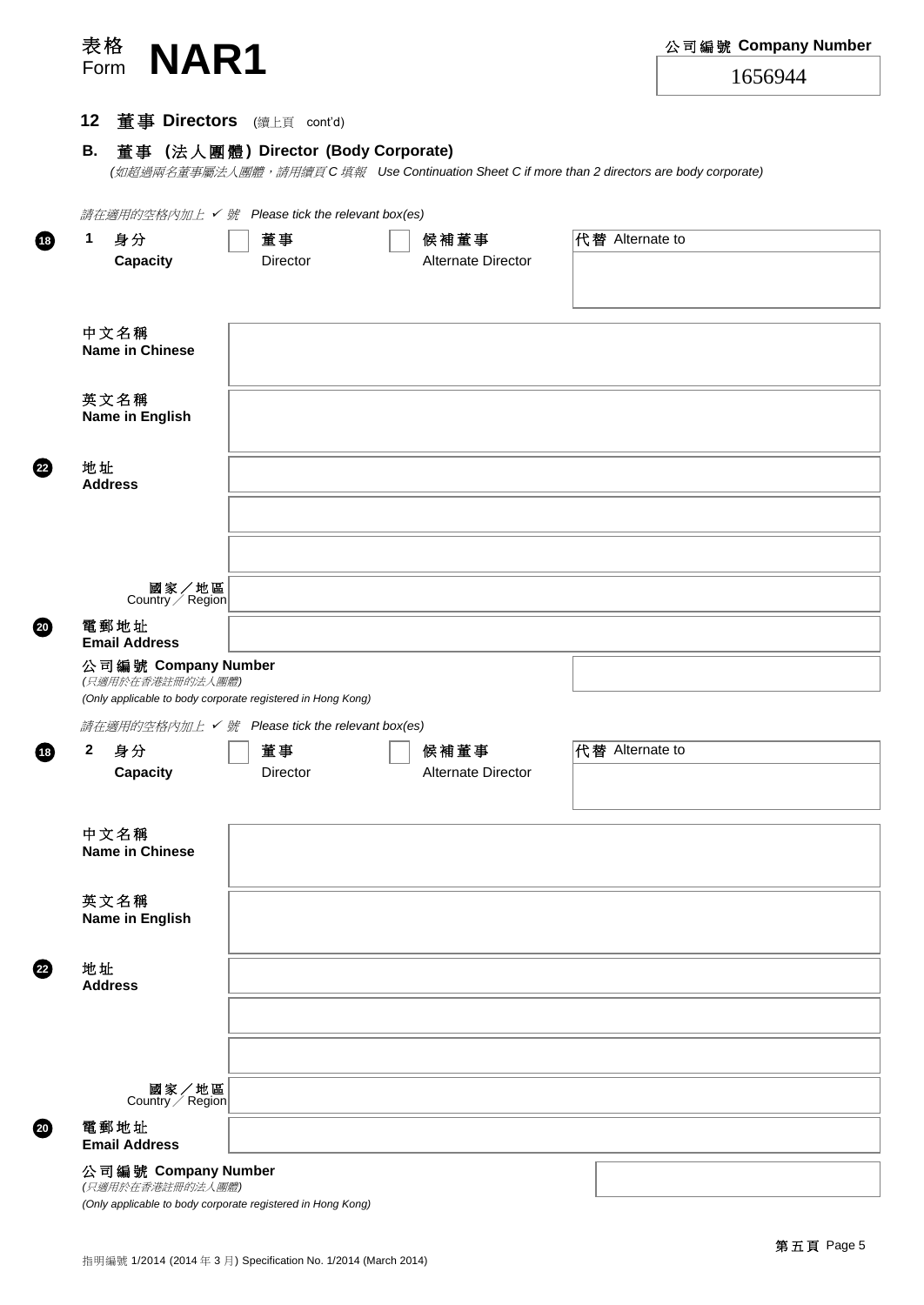| 表格<br>NAR1                                                  |                                     |                            | 公司編號 Company Number                                                                         |
|-------------------------------------------------------------|-------------------------------------|----------------------------|---------------------------------------------------------------------------------------------|
| Form                                                        |                                     |                            | 1656944                                                                                     |
| 12                                                          | 董事 Directors (續上頁 cont'd)           |                            |                                                                                             |
| В.                                                          | 董事 (法人團體) Director (Body Corporate) |                            |                                                                                             |
|                                                             |                                     |                            | (如超過兩名董事屬法人團體,請用續頁C填報 Use Continuation Sheet C if more than 2 directors are body corporate) |
| 請在適用的空格內加上 √號 Please tick the relevant box(es)              |                                     |                            |                                                                                             |
| 1<br>身分                                                     | 董事                                  | 候補董事                       | 代替 Alternate to                                                                             |
| Capacity                                                    | Director                            | <b>Alternate Director</b>  |                                                                                             |
|                                                             |                                     |                            |                                                                                             |
| 中文名稱                                                        |                                     |                            |                                                                                             |
| <b>Name in Chinese</b>                                      |                                     |                            |                                                                                             |
| 英文名稱                                                        |                                     |                            |                                                                                             |
| Name in English                                             |                                     |                            |                                                                                             |
|                                                             |                                     |                            |                                                                                             |
| 地址<br><b>Address</b>                                        |                                     |                            |                                                                                             |
|                                                             |                                     |                            |                                                                                             |
|                                                             |                                     |                            |                                                                                             |
| 國家/地區                                                       |                                     |                            |                                                                                             |
| Country / Region                                            |                                     |                            |                                                                                             |
| 電郵地址<br><b>Email Address</b>                                |                                     |                            |                                                                                             |
| 公司編號 Company Number<br>(只適用於在香港註冊的法人團體)                     |                                     |                            |                                                                                             |
| (Only applicable to body corporate registered in Hong Kong) |                                     |                            |                                                                                             |
| 請在適用的空格內加上 √號 Please tick the relevant box(es)              |                                     |                            |                                                                                             |
| $\mathbf{2}$<br>身分<br>Capacity                              | 董事<br>Director                      | 候補董事<br>Alternate Director | 代替 Alternate to                                                                             |
|                                                             |                                     |                            |                                                                                             |
| 中文名稱                                                        |                                     |                            |                                                                                             |
| <b>Name in Chinese</b>                                      |                                     |                            |                                                                                             |
|                                                             |                                     |                            |                                                                                             |
| 英文名稱<br>Name in English                                     |                                     |                            |                                                                                             |
|                                                             |                                     |                            |                                                                                             |
| 地址<br><b>Address</b>                                        |                                     |                            |                                                                                             |
|                                                             |                                     |                            |                                                                                             |
|                                                             |                                     |                            |                                                                                             |
|                                                             |                                     |                            |                                                                                             |
| 國家/地區<br>Country / Region                                   |                                     |                            |                                                                                             |
| 電郵地址<br><b>Email Address</b>                                |                                     |                            |                                                                                             |
| 公司編號 Company Number                                         |                                     |                            |                                                                                             |

*(*只適用於在香港註冊的法人團體*) (Only applicable to body corporate registered in Hong Kong)*

**22**

**18**

**20**

**18**

**22**

**20**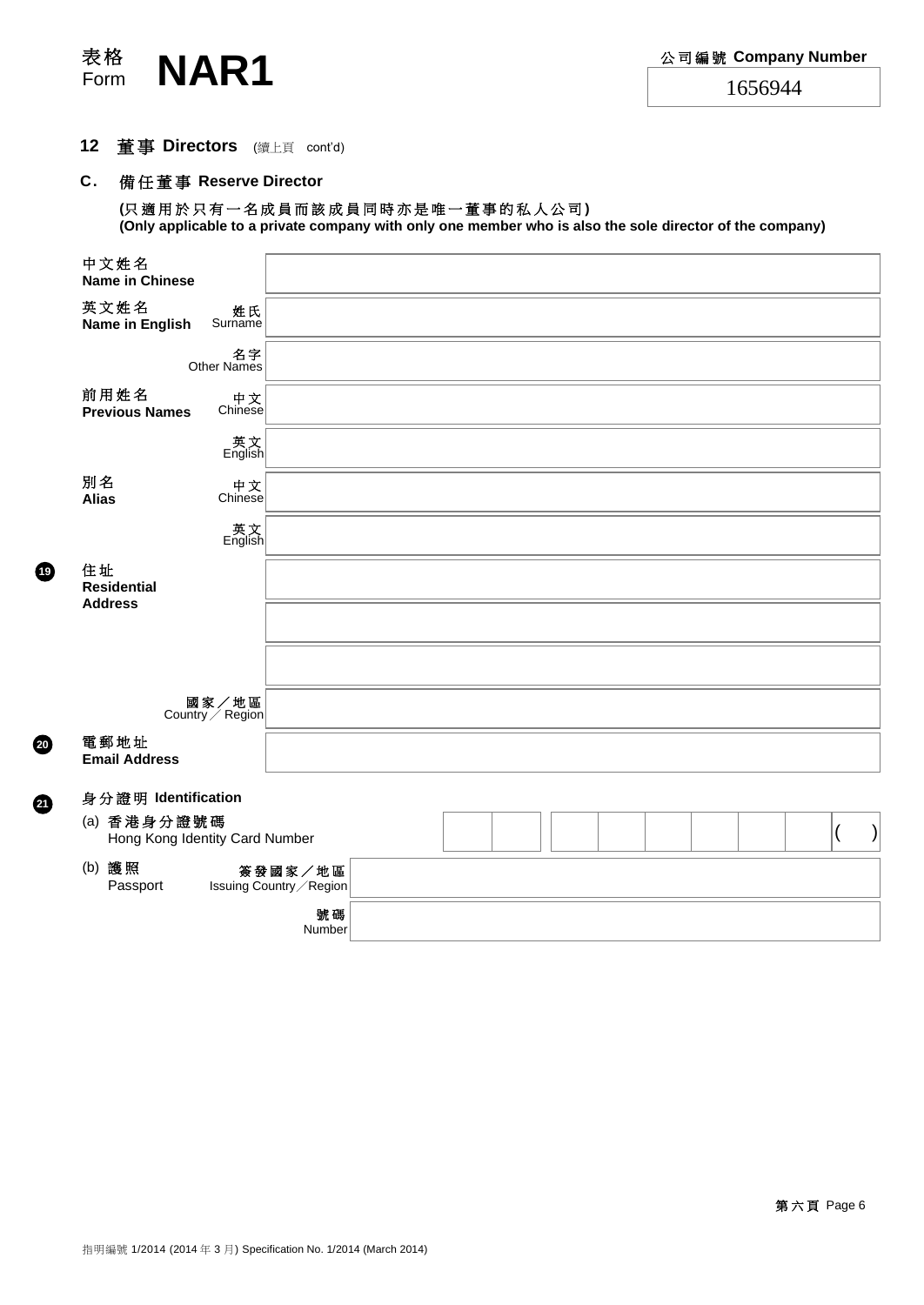

**20**

**21**

## **12** 董 事 **Directors** (續上頁 cont'd)

### **C.** 備任董事 **Reserve Director**

**(**只 適 用 於 只 有 一 名 成 員 而 該 成 員 同 時 亦 是 唯 一 董 事 的 私 人 公 司 **) (Only applicable to a private company with only one member who is also the sole director of the company)**

| 中文姓名<br><b>Name in Chinese</b>                |                                     |  |
|-----------------------------------------------|-------------------------------------|--|
| 英文姓名<br>姓氏<br>Surname<br>Name in English      |                                     |  |
| Other Names                                   | 名字                                  |  |
| 前用姓名<br><b>Previous Names</b>                 | 中文<br>Chinese                       |  |
|                                               | _<br>英文<br>English                  |  |
| 別名<br><b>Alias</b>                            | 中文<br>Chinese                       |  |
|                                               | 英<br>Thglish                        |  |
| 住址<br><b>Residential</b><br><b>Address</b>    |                                     |  |
|                                               |                                     |  |
|                                               |                                     |  |
| 國家/地區<br>Country / Region                     |                                     |  |
| 電郵地址<br><b>Email Address</b>                  |                                     |  |
| 身分證明 Identification                           |                                     |  |
| (a) 香港身分證號碼<br>Hong Kong Identity Card Number |                                     |  |
| (b) 護照<br>Passport                            | 簽發國家/地區<br>Issuing Country / Region |  |
|                                               | 號碼<br>Number                        |  |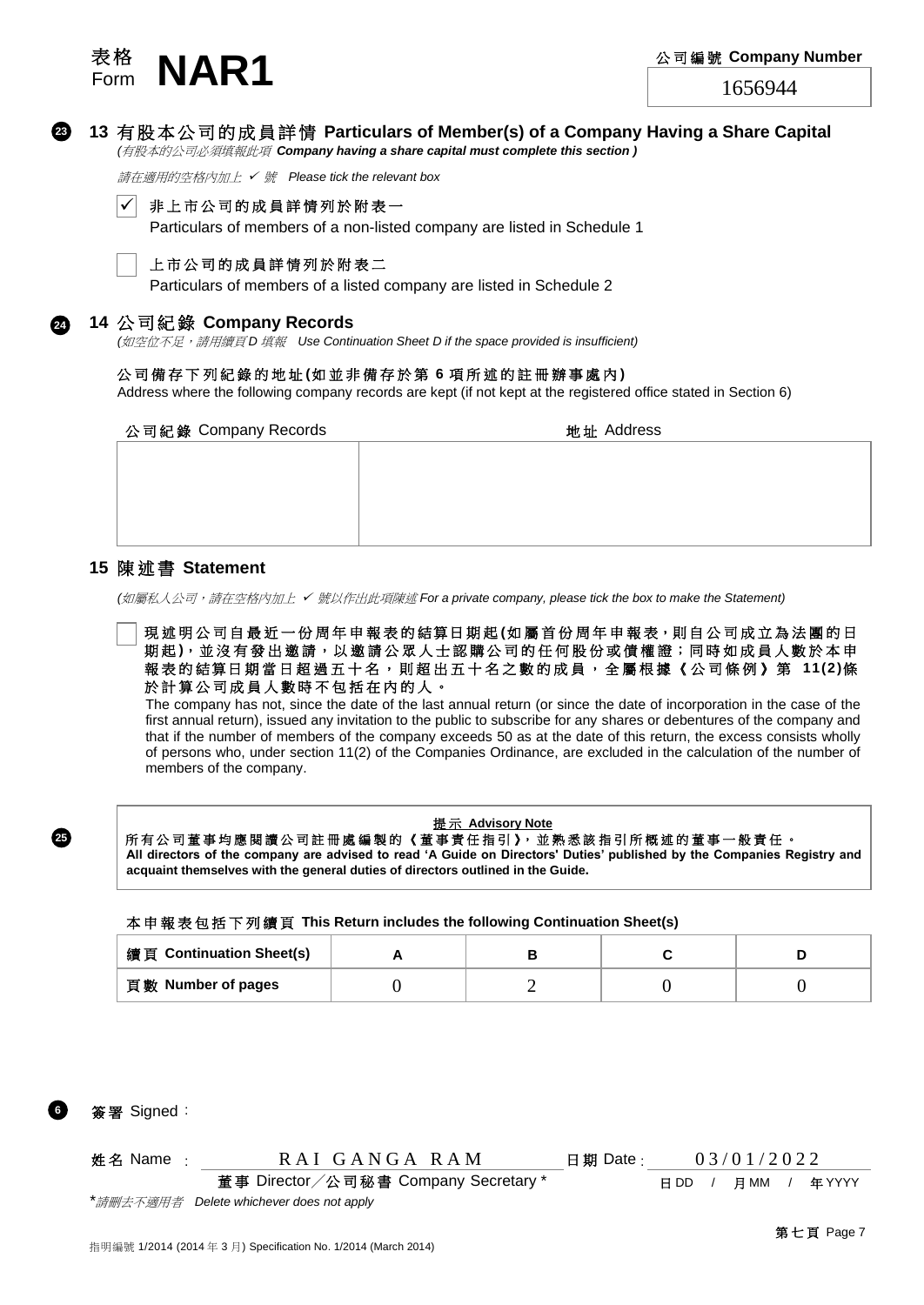



**13** 有 股 本 公 司 的 成 員 詳 情 **Particulars of Member(s) of a Company Having a Share Capital** *(*有股本的公司必須填報此項 *Company having a share capital must complete this section )*

請在適用的空格內加上 ✓ 號 *Please tick the relevant box*



非上市公司的成員詳情列於附表一

Particulars of members of a non-listed company are listed in Schedule 1



#### 上市公司的成員詳情列於附表二

Particulars of members of a listed company are listed in Schedule 2

#### **14** 公 司 紀 錄 **Company Records**

*(*如空位不足,請用續頁 *D* 填報 *Use Continuation Sheet D if the space provided is insufficient)*

#### 公司備存 下 列 紀 錄 的地址 **(**如 並 非 備 存 於 第 **6** 項 所 述 的 註 冊 辦 事處內 **)**

Address where the following company records are kept (if not kept at the registered office stated in Section 6)

公司紀錄 Company Records カランド おおところ 地址 Address

**15** 陳 述 書 **Statement**

*(*如屬私人公司,請在空格內加上 ✓ 號以作出此項陳述 *For a private company, please tick the box to make the Statement)*

現 述 明 公 司 自 最 近 一 份 周 年 申 報 表 的 結 算 日 期 起 (如 屬 首 份 周 年 申 報 表 , 則 自 公 司 成 立 為 法 團 的 日 期起), 並沒有發出邀請, 以邀請公眾人士認購公司的任何股份或債權證;同時如成員人數於本申 報 表 的 結算日 期 當 日 超 過 五 十 名 , 則 超 出 五 十 名 之 數 的 成 員 , 全 屬 根 據 《 公 司 條 例 》 第 **11(2)**條 於計算公司成員人數時不包括在內的人。

The company has not, since the date of the last annual return (or since the date of incorporation in the case of the first annual return), issued any invitation to the public to subscribe for any shares or debentures of the company and that if the number of members of the company exceeds 50 as at the date of this return, the excess consists wholly of persons who, under section 11(2) of the Companies Ordinance, are excluded in the calculation of the number of members of the company.

#### 提 示 **Advisory Note**

#### 所有公司董事均應閱讀公司註冊處編製的《董事責任指引》,並熟悉該指引所概述的董事一般責任。

**All directors of the company are advised to read 'A Guide on Directors' Duties' published by the Companies Registry and acquaint themselves with the general duties of directors outlined in the Guide.**

#### 本 申 報 表 包 括 下 列 續 頁 **This Return includes the following Continuation Sheet(s)**

| 續頁 Continuation Sheet(s) |  |  |
|--------------------------|--|--|
| 頁數 Number of pages       |  |  |



**6**

**25**

姓名 Name : RAI GANGA RAM 日期 Date : 03/01/2022

董事 Director/公司秘書 Company Secretary \* <br>
日DD / 月MM / 年 YYYY

*\**請刪去不適用者 *Delete whichever does not apply*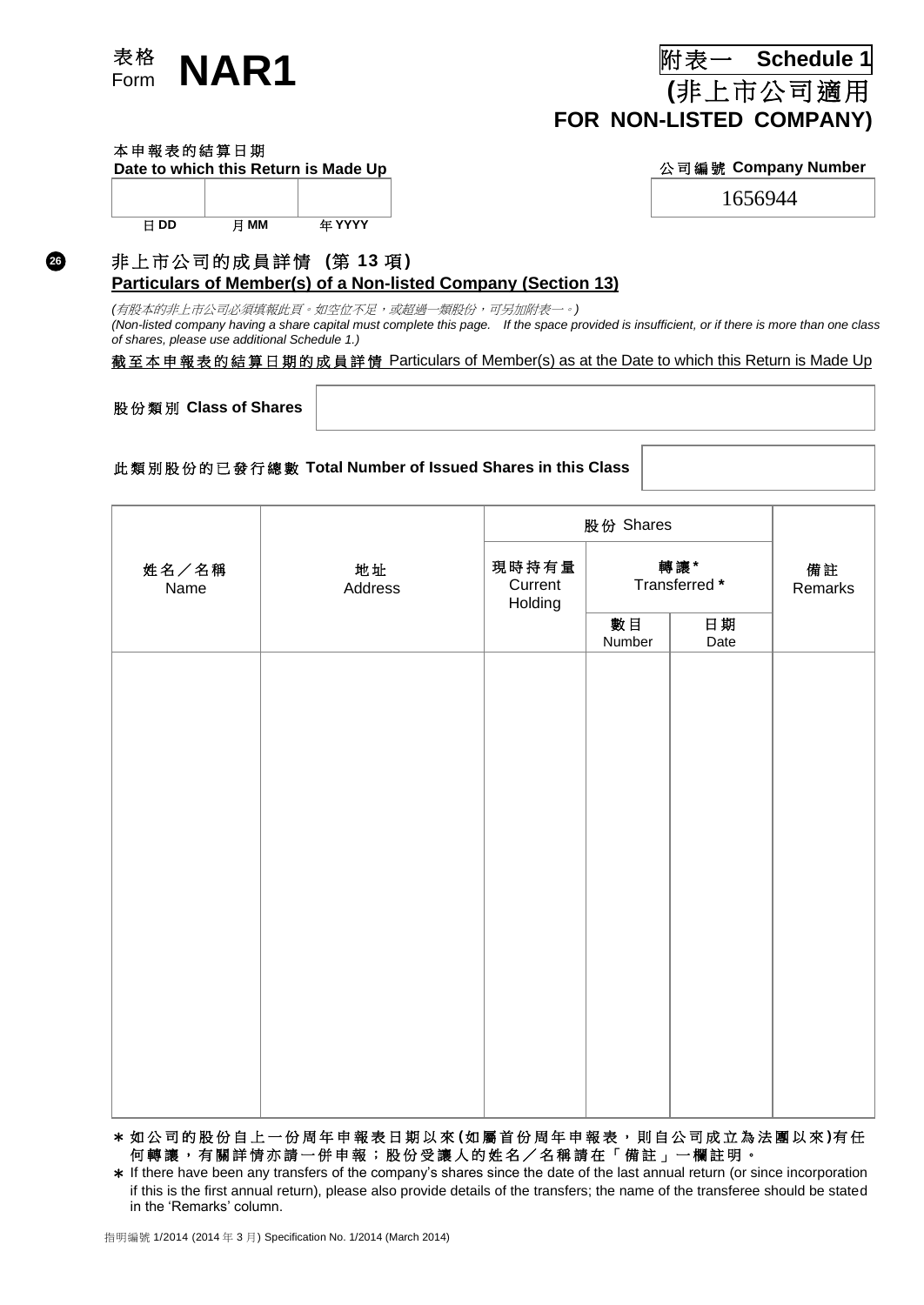

**(**非上市公司適用 **FOR NON-LISTED COMPANY)**

#### 本申報表的結算日期

**26**

| חח<br>H | MМ | <b>在 YYYY</b> |
|---------|----|---------------|

#### Date to which this Return is Made Up **Notify 10 and Apple 20 and Apple 20 and Apple 20 and Apple 20 and Apple 20 and Apple 20 and Apple 20 and Apple 20 and Apple 20 and Apple 20 and Apple 20 and Apple 20 and Apple 20 and**

1656944

#### 非 上 市 公 司 的 成 員 詳 情 **(**第 **13** 項 **)**

**Particulars of Member(s) of a Non-listed Company (Section 13)**

*(*有股本的非上市公司必須填報此頁。如空位不足,或超過一類股份,可另加附表一。*) (Non-listed company having a share capital must complete this page. If the space provided is insufficient, or if there is more than one class of shares, please use additional Schedule 1.)*

#### 截至本申報表的結算日期的成員詳情 Particulars of Member(s) as at the Date to which this Return is Made Up

股份類別 **Class of Shares**

#### 此 類 別 股 份 的 已 發 行 總 數 **Total Number of Issued Shares in this Class**

| 現時持有量<br>轉讓*                                                          |               |  |
|-----------------------------------------------------------------------|---------------|--|
| 地址<br>姓名/名稱<br>Transferred *<br>Current<br>Name<br>Address<br>Holding | 備註<br>Remarks |  |
| 數目<br>日期<br>Number<br>Date                                            |               |  |
|                                                                       |               |  |
|                                                                       |               |  |
|                                                                       |               |  |
|                                                                       |               |  |
|                                                                       |               |  |
|                                                                       |               |  |
|                                                                       |               |  |
|                                                                       |               |  |
|                                                                       |               |  |
|                                                                       |               |  |
|                                                                       |               |  |

\* 如 公 司 的 股 份 自 上 一 份 周 年 申 報 表 日 期 以 來 **(**如 屬 首 份 周 年 申 報 表 , 則 自 公 司 成 立 為 法 團 以 來 **)**有 任 何轉讓,有關詳情亦請一併申報;股份受讓人的姓名/名稱請在「備註」一欄註明。

\* If there have been any transfers of the company's shares since the date of the last annual return (or since incorporation if this is the first annual return), please also provide details of the transfers; the name of the transferee should be stated in the 'Remarks' column.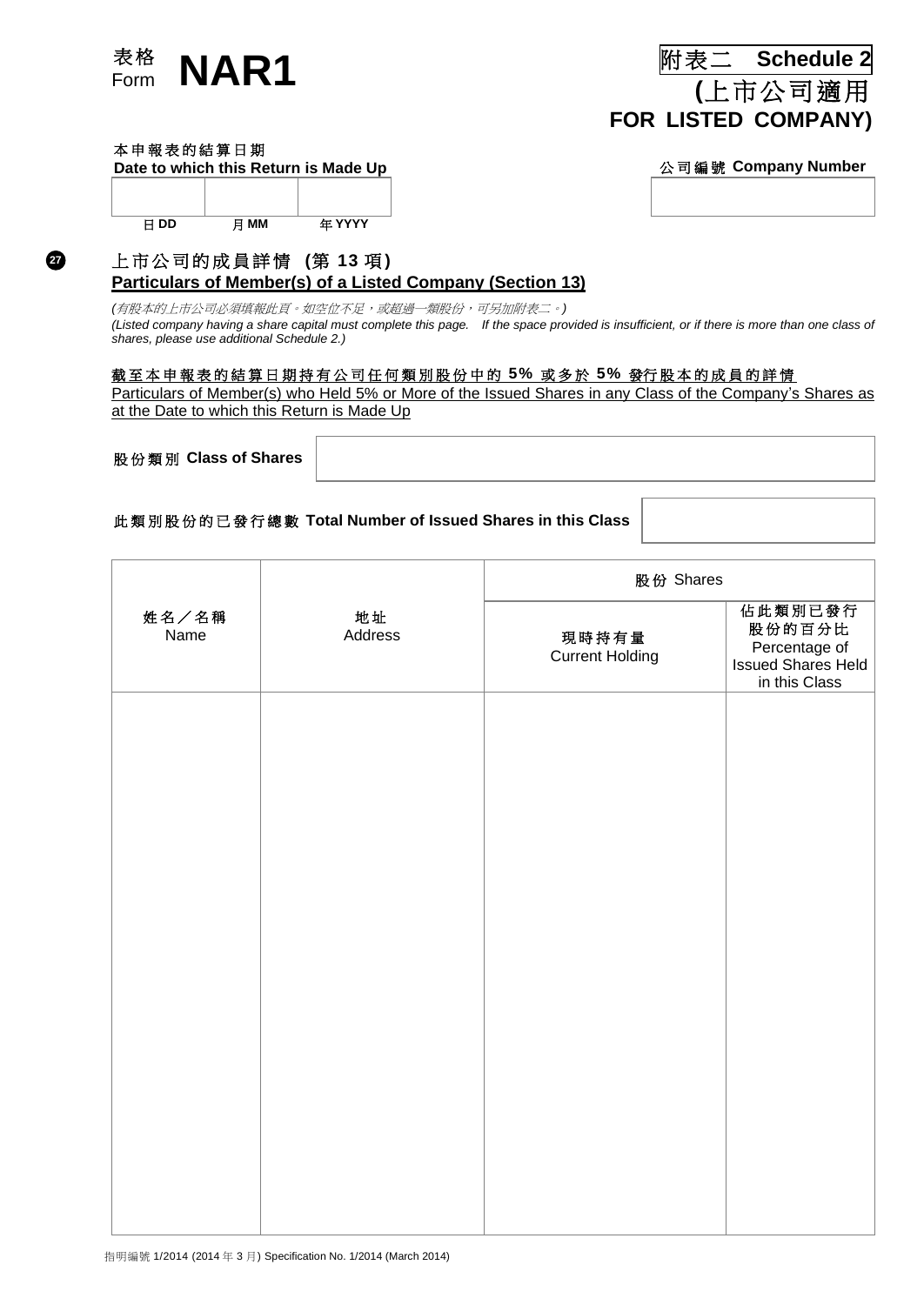

# 表 格 Form **NAR1** 附表二 **Schedule <sup>2</sup> (**上市公司適用 **FOR LISTED COMPANY)**

#### 本申報表的結算日期

**27**

**Date to which this Return is Made Up** 公司編號 **Company Number**

| F DD | 日 MM | 年 YYYY |
|------|------|--------|

# 上 市 公 司 的 成 員 詳 情 **(**第 **13** 項 **)**

## **Particulars of Member(s) of a Listed Company (Section 13)**

*(*有股本的上市公司必須填報此頁。如空位不足,或超過一類股份,可另加附表二。*) (Listed company having a share capital must complete this page. If the space provided is insufficient, or if there is more than one class of shares, please use additional Schedule 2.)*

#### 截 至 本 申 報 表 的 結 算 日 期 持 有 公 司 任 何 類 別 股 份 中 的 **5%** 或多於 **5%** 發行 股 本 的成員 的 詳 情

Particulars of Member(s) who Held 5% or More of the Issued Shares in any Class of the Company's Shares as at the Date to which this Return is Made Up

股份類別 **Class of Shares**

#### 此 類 別 股 份 的 已發行 總 數 **Total Number of Issued Shares in this Class**

|               |               | 股份 Shares                       |                                                                           |
|---------------|---------------|---------------------------------|---------------------------------------------------------------------------|
| 姓名/名稱<br>Name | 地址<br>Address | 現時持有量<br><b>Current Holding</b> | 佔此類別已發行<br>股份的百分比<br>Percentage of<br>Issued Shares Held<br>in this Class |
|               |               |                                 |                                                                           |
|               |               |                                 |                                                                           |
|               |               |                                 |                                                                           |
|               |               |                                 |                                                                           |
|               |               |                                 |                                                                           |
|               |               |                                 |                                                                           |
|               |               |                                 |                                                                           |
|               |               |                                 |                                                                           |
|               |               |                                 |                                                                           |
|               |               |                                 |                                                                           |
|               |               |                                 |                                                                           |
|               |               |                                 |                                                                           |

指明編號 1/2014 (2014 年 3 月) Specification No. 1/2014 (March 2014)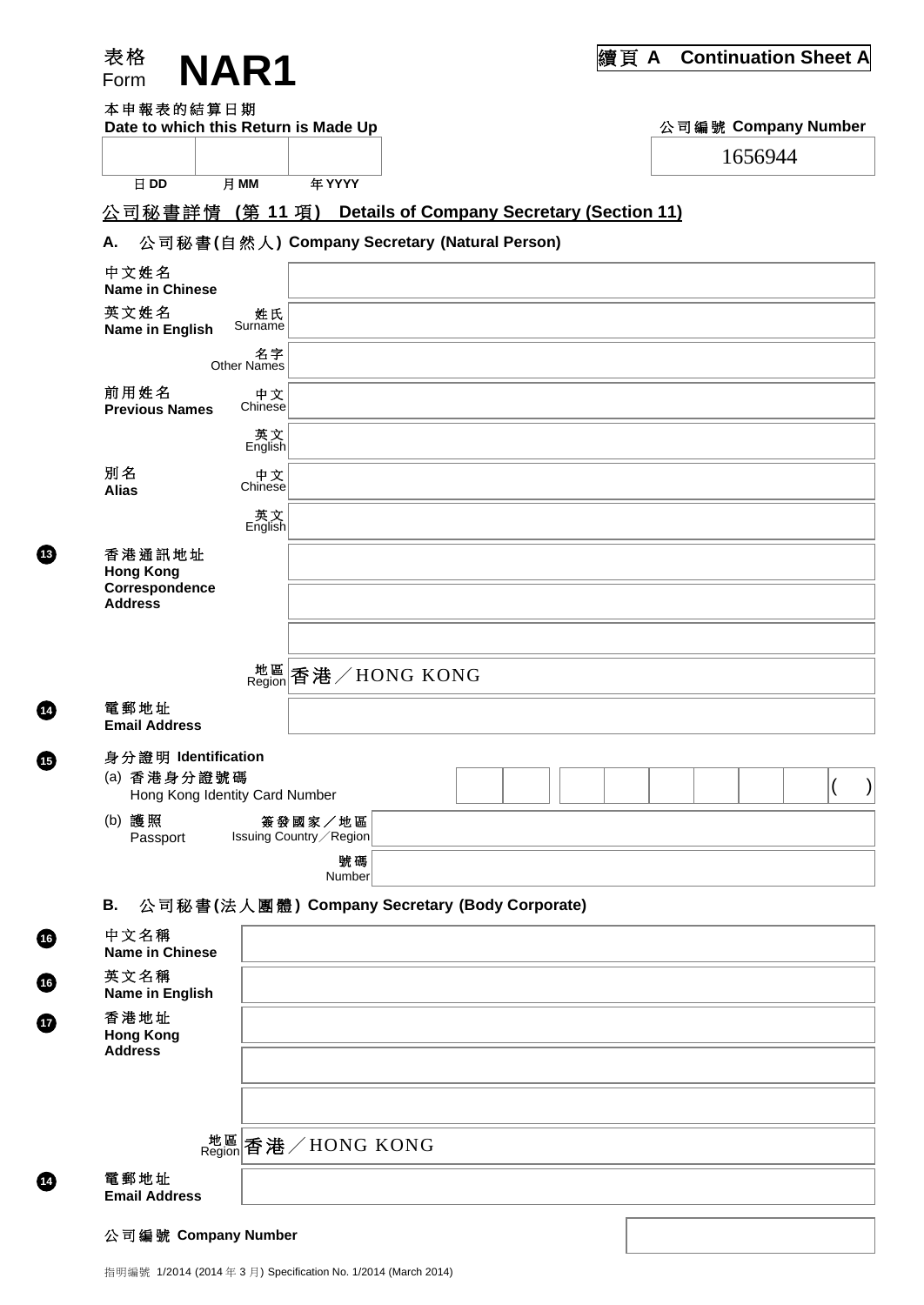| 表格                                                                   | <b>NAR1</b>              |                                                  |                                                  | 續頁 A |                     |         | <b>Continuation Sheet A</b> |
|----------------------------------------------------------------------|--------------------------|--------------------------------------------------|--------------------------------------------------|------|---------------------|---------|-----------------------------|
| Form<br>本申報表的結算日期<br>Date to which this Return is Made Up            |                          |                                                  |                                                  |      | 公司編號 Company Number |         |                             |
|                                                                      |                          |                                                  |                                                  |      |                     | 1656944 |                             |
| 日 DD                                                                 | 月 MM                     | 年 YYYY                                           |                                                  |      |                     |         |                             |
| 公司秘書詳情 (第11項)                                                        |                          |                                                  | <b>Details of Company Secretary (Section 11)</b> |      |                     |         |                             |
| 公司秘書(自然人) Company Secretary (Natural Person)<br>Α.                   |                          |                                                  |                                                  |      |                     |         |                             |
| 中文姓名<br><b>Name in Chinese</b>                                       |                          |                                                  |                                                  |      |                     |         |                             |
| 英文姓名<br>Name in English                                              | 姓氏<br>Surname            |                                                  |                                                  |      |                     |         |                             |
|                                                                      | 名字<br><b>Other Names</b> |                                                  |                                                  |      |                     |         |                             |
| 前用姓名<br><b>Previous Names</b>                                        | 中文<br>Chinese            |                                                  |                                                  |      |                     |         |                             |
|                                                                      | _英文<br>English           |                                                  |                                                  |      |                     |         |                             |
| 別名<br><b>Alias</b>                                                   | 中文<br>Chinese            |                                                  |                                                  |      |                     |         |                             |
|                                                                      | _英文<br>English           |                                                  |                                                  |      |                     |         |                             |
| 香港通訊地址<br><b>Hong Kong</b><br>Correspondence<br><b>Address</b>       |                          |                                                  |                                                  |      |                     |         |                             |
|                                                                      |                          | <sup>地區</sup> 香港/HONG KONG                       |                                                  |      |                     |         |                             |
| 電郵地址<br><b>Email Address</b>                                         |                          |                                                  |                                                  |      |                     |         |                             |
| 身分證明 Identification<br>(a) 香港身分證號碼<br>Hong Kong Identity Card Number |                          |                                                  |                                                  |      |                     |         |                             |
| (b) 護照                                                               |                          | 簽發國家/地區                                          |                                                  |      |                     |         |                             |
| Passport                                                             |                          | Issuing Country / Region<br>號碼                   |                                                  |      |                     |         |                             |
|                                                                      |                          | Number                                           |                                                  |      |                     |         |                             |
| 公司秘書(法人團體) Company Secretary (Body Corporate)<br>В.                  |                          |                                                  |                                                  |      |                     |         |                             |
| 中文名稱<br><b>Name in Chinese</b>                                       |                          |                                                  |                                                  |      |                     |         |                             |
| 英文名稱<br>Name in English                                              |                          |                                                  |                                                  |      |                     |         |                             |
| 香港地址<br><b>Hong Kong</b><br><b>Address</b>                           |                          |                                                  |                                                  |      |                     |         |                             |
|                                                                      |                          |                                                  |                                                  |      |                     |         |                             |
|                                                                      |                          | $\frac{\text{##}}{\text{Region}}$ 香港 / HONG KONG |                                                  |      |                     |         |                             |
| 電郵地址                                                                 |                          |                                                  |                                                  |      |                     |         |                             |
| <b>Email Address</b>                                                 |                          |                                                  |                                                  |      |                     |         |                             |

#### 公司編號 **Company Number**

**13**

**14**

**15**

**16**

**16**

**17** 

**12**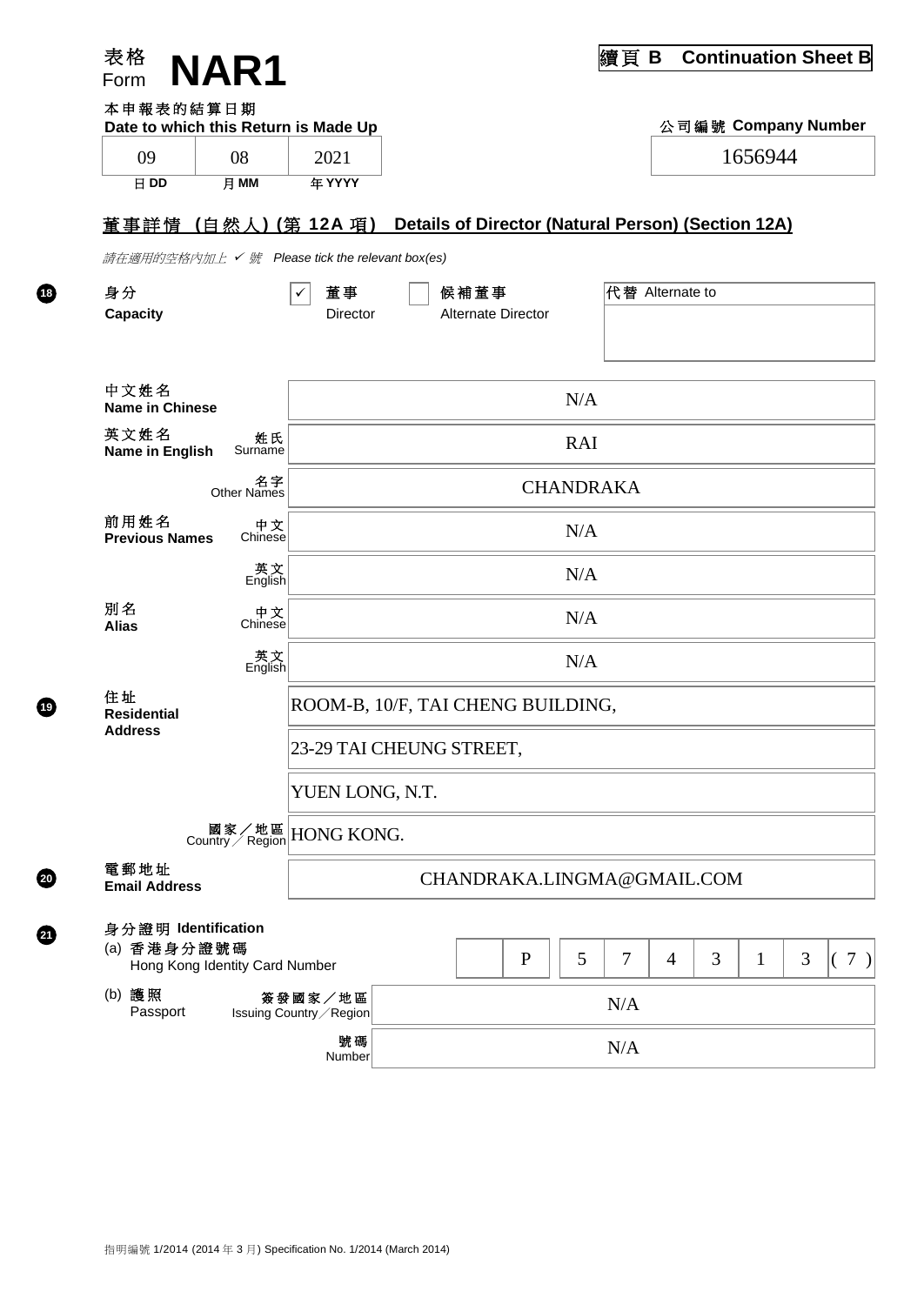| 表格<br>Form                                                           | <b>NAR1</b>               |                                     |                                                    |                           |              |                  | 續頁              | B | <b>Continuation Sheet B</b> |              |   |     |
|----------------------------------------------------------------------|---------------------------|-------------------------------------|----------------------------------------------------|---------------------------|--------------|------------------|-----------------|---|-----------------------------|--------------|---|-----|
| 本申報表的結算日期<br>Date to which this Return is Made Up                    |                           |                                     |                                                    |                           |              |                  |                 |   | 公司編號 Company Number         |              |   |     |
| 09                                                                   | 08                        | 2021                                |                                                    |                           |              |                  |                 |   |                             | 1656944      |   |     |
| 日 DD                                                                 | 月 MM                      | 年 YYYY                              |                                                    |                           |              |                  |                 |   |                             |              |   |     |
| 董事詳情(自然人)(第 12A 項)                                                   |                           |                                     | Details of Director (Natural Person) (Section 12A) |                           |              |                  |                 |   |                             |              |   |     |
| 請在適用的空格內加上 ✔ 號 Please tick the relevant box(es)                      |                           |                                     |                                                    |                           |              |                  |                 |   |                             |              |   |     |
| 身分                                                                   |                           | 董事<br>✓                             |                                                    | 候補董事                      |              |                  | 代替 Alternate to |   |                             |              |   |     |
| <b>Capacity</b>                                                      |                           | Director                            |                                                    | <b>Alternate Director</b> |              |                  |                 |   |                             |              |   |     |
|                                                                      |                           |                                     |                                                    |                           |              |                  |                 |   |                             |              |   |     |
| 中文姓名<br><b>Name in Chinese</b>                                       |                           |                                     |                                                    |                           |              | N/A              |                 |   |                             |              |   |     |
| 英文姓名<br>Name in English                                              | 姓氏<br>Surname             |                                     |                                                    |                           |              | <b>RAI</b>       |                 |   |                             |              |   |     |
|                                                                      | 名字<br>Other Names         |                                     |                                                    |                           |              | <b>CHANDRAKA</b> |                 |   |                             |              |   |     |
| 前用姓名<br><b>Previous Names</b>                                        | 中文<br>Chinese             |                                     |                                                    |                           |              | N/A              |                 |   |                             |              |   |     |
|                                                                      | 英<br>English              |                                     |                                                    |                           |              | N/A              |                 |   |                             |              |   |     |
| 別名<br><b>Alias</b>                                                   | 中文<br>Chinese             | N/A                                 |                                                    |                           |              |                  |                 |   |                             |              |   |     |
|                                                                      | _<br>英文<br>English        |                                     |                                                    |                           |              | N/A              |                 |   |                             |              |   |     |
| 住址<br><b>Residential</b><br>Address                                  |                           | ROOM-B, 10/F, TAI CHENG BUILDING,   |                                                    |                           |              |                  |                 |   |                             |              |   |     |
|                                                                      |                           | 23-29 TAI CHEUNG STREET,            |                                                    |                           |              |                  |                 |   |                             |              |   |     |
|                                                                      |                           | YUEN LONG, N.T.                     |                                                    |                           |              |                  |                 |   |                             |              |   |     |
|                                                                      | 國家/地區<br>Country / Region | <b>HONG KONG.</b>                   |                                                    |                           |              |                  |                 |   |                             |              |   |     |
| 電郵地址<br>CHANDRAKA.LINGMA@GMAIL.COM<br><b>Email Address</b>           |                           |                                     |                                                    |                           |              |                  |                 |   |                             |              |   |     |
| 身分證明 Identification<br>(a) 香港身分證號碼<br>Hong Kong Identity Card Number |                           |                                     |                                                    |                           | $\mathbf{P}$ | 5                | 7               | 4 | 3                           | $\mathbf{1}$ | 3 | (7) |
| (b) 護照<br>Passport                                                   |                           | 簽發國家/地區<br>Issuing Country / Region |                                                    |                           |              |                  | N/A             |   |                             |              |   |     |
|                                                                      |                           | 號碼<br>Number                        |                                                    |                           |              |                  | N/A             |   |                             |              |   |     |

**18**

**20**

 $Q$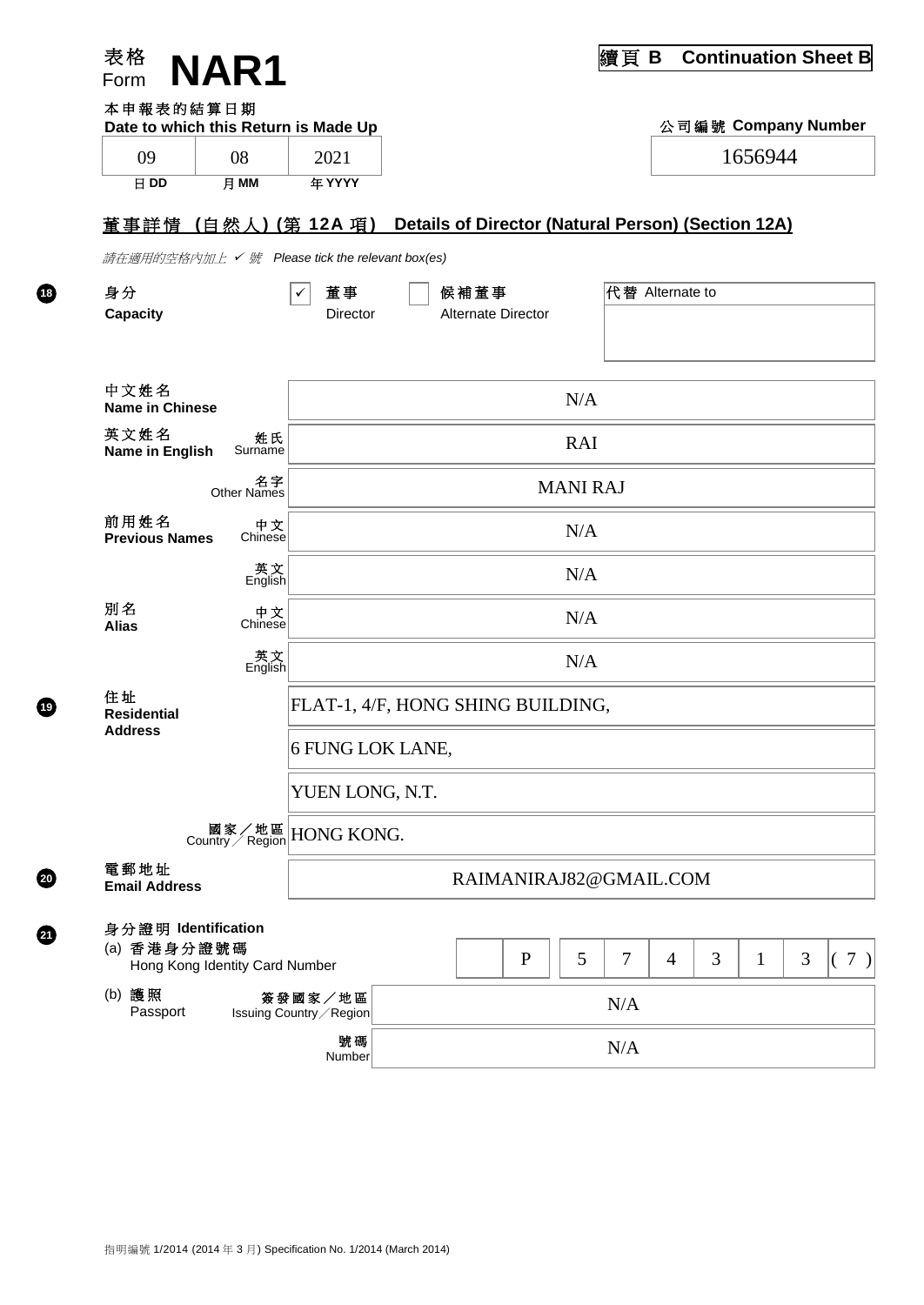| 本申報表的結算日期                          |                   |                                                                                                                                                                                                   |                                                                    |                                                                     |                                   |   |                                                                    |      |                 |                                                    |                                                               |
|------------------------------------|-------------------|---------------------------------------------------------------------------------------------------------------------------------------------------------------------------------------------------|--------------------------------------------------------------------|---------------------------------------------------------------------|-----------------------------------|---|--------------------------------------------------------------------|------|-----------------|----------------------------------------------------|---------------------------------------------------------------|
|                                    |                   |                                                                                                                                                                                                   |                                                                    |                                                                     |                                   |   |                                                                    |      |                 |                                                    |                                                               |
| 月 MM                               | 年 YYYY            |                                                                                                                                                                                                   |                                                                    |                                                                     |                                   |   |                                                                    |      |                 |                                                    |                                                               |
|                                    |                   |                                                                                                                                                                                                   |                                                                    |                                                                     |                                   |   |                                                                    |      |                 |                                                    |                                                               |
|                                    |                   |                                                                                                                                                                                                   |                                                                    |                                                                     |                                   |   |                                                                    |      |                 |                                                    |                                                               |
|                                    | 董事<br>✓           |                                                                                                                                                                                                   |                                                                    |                                                                     |                                   |   |                                                                    |      |                 |                                                    |                                                               |
|                                    | Director          |                                                                                                                                                                                                   |                                                                    |                                                                     |                                   |   |                                                                    |      |                 |                                                    |                                                               |
|                                    |                   |                                                                                                                                                                                                   |                                                                    |                                                                     |                                   |   |                                                                    |      |                 |                                                    |                                                               |
|                                    |                   |                                                                                                                                                                                                   |                                                                    |                                                                     | N/A                               |   |                                                                    |      |                 |                                                    |                                                               |
| 姓氏<br>Surname                      |                   |                                                                                                                                                                                                   |                                                                    |                                                                     | <b>RAI</b>                        |   |                                                                    |      |                 |                                                    |                                                               |
| 名字<br>Other Names                  |                   |                                                                                                                                                                                                   |                                                                    |                                                                     |                                   |   |                                                                    |      |                 |                                                    |                                                               |
| 中文<br>Chinese                      |                   |                                                                                                                                                                                                   |                                                                    |                                                                     | N/A                               |   |                                                                    |      |                 |                                                    |                                                               |
|                                    |                   |                                                                                                                                                                                                   |                                                                    |                                                                     | N/A                               |   |                                                                    |      |                 |                                                    |                                                               |
| 中文                                 |                   |                                                                                                                                                                                                   |                                                                    |                                                                     | N/A                               |   |                                                                    |      |                 |                                                    |                                                               |
|                                    |                   |                                                                                                                                                                                                   |                                                                    |                                                                     | N/A                               |   |                                                                    |      |                 |                                                    |                                                               |
|                                    |                   |                                                                                                                                                                                                   |                                                                    |                                                                     |                                   |   |                                                                    |      |                 |                                                    |                                                               |
|                                    |                   |                                                                                                                                                                                                   |                                                                    |                                                                     |                                   |   |                                                                    |      |                 |                                                    |                                                               |
|                                    |                   |                                                                                                                                                                                                   |                                                                    |                                                                     |                                   |   |                                                                    |      |                 |                                                    |                                                               |
|                                    |                   |                                                                                                                                                                                                   |                                                                    |                                                                     |                                   |   |                                                                    |      |                 |                                                    |                                                               |
| 電郵地址<br><b>Email Address</b>       |                   |                                                                                                                                                                                                   | RAIMANIRAJ82@GMAIL.COM                                             |                                                                     |                                   |   |                                                                    |      |                 |                                                    |                                                               |
| 身分證明 Identification<br>(a) 香港身分證號碼 |                   |                                                                                                                                                                                                   |                                                                    | $\mathbf P$                                                         | 5                                 | 7 | 4                                                                  | 3    | $\mathbf{1}$    | 3                                                  | (7)                                                           |
|                                    |                   |                                                                                                                                                                                                   |                                                                    |                                                                     |                                   |   |                                                                    |      |                 |                                                    |                                                               |
|                                    | 號碼<br>Number      |                                                                                                                                                                                                   |                                                                    |                                                                     |                                   |   |                                                                    |      |                 |                                                    |                                                               |
|                                    | <b>NAR1</b><br>08 | Date to which this Return is Made Up<br>2021<br>英<br>English<br>Chinese<br>_<br>英文<br>English<br>國家/地區<br>Country/Region<br>Hong Kong Identity Card Number<br>簽發國家/地區<br>Issuing Country / Region | <u> 董事詳情(自然人)(第 12A 項)</u><br>YUEN LONG, N.T.<br><b>HONG KONG.</b> | 請在適用的空格內加上 ✔ 號 Please tick the relevant box(es)<br>6 FUNG LOK LANE, | 候補董事<br><b>Alternate Director</b> |   | <b>MANI RAJ</b><br>FLAT-1, 4/F, HONG SHING BUILDING,<br>N/A<br>N/A | 續頁 B | 代替 Alternate to | Details of Director (Natural Person) (Section 12A) | <b>Continuation Sheet B</b><br>公司編號 Company Number<br>1656944 |

**18**

**20**

 $Q$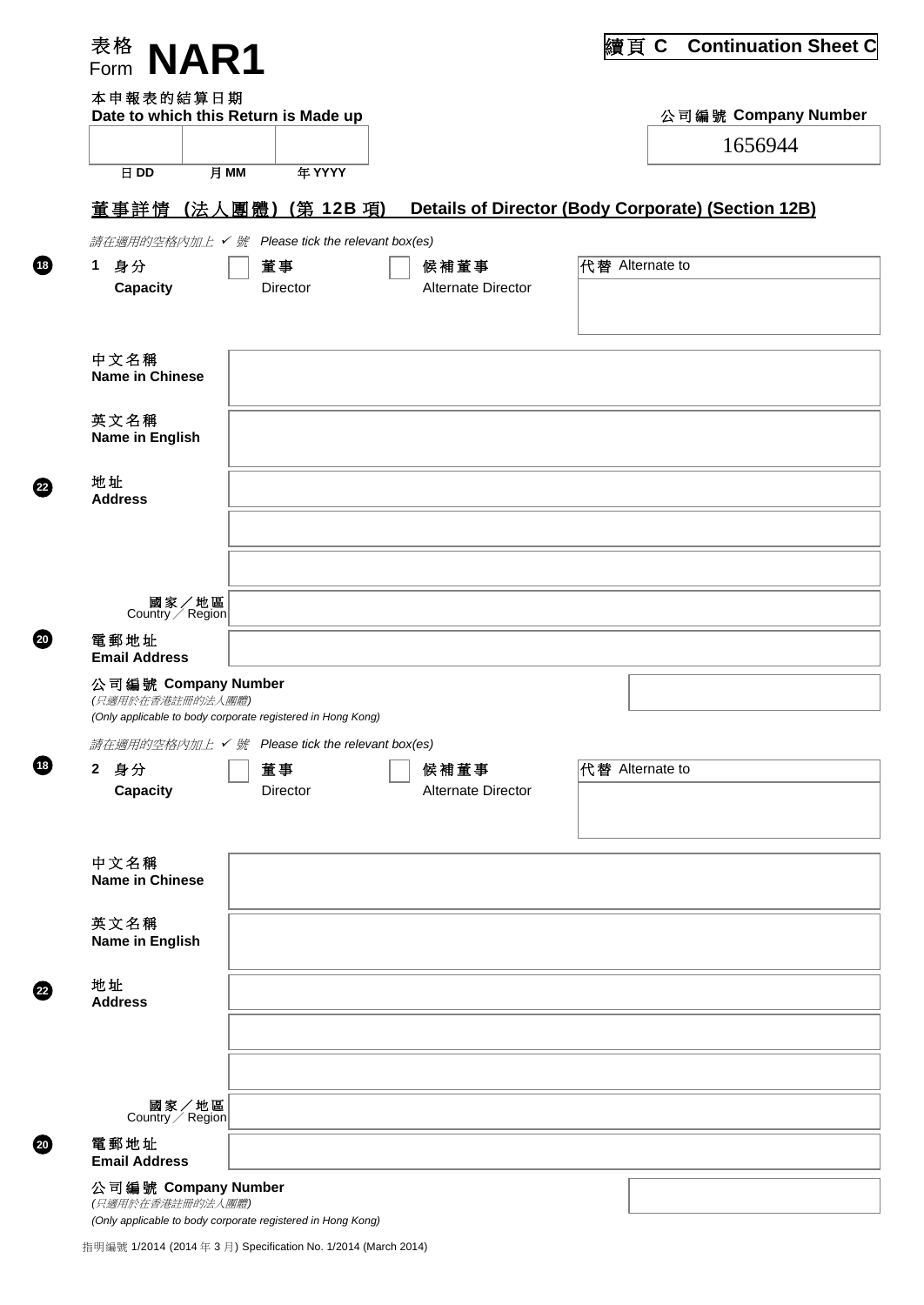| 表格<br>NAR1<br>Form                   |                                                             |                                   | 續頁C<br><b>Continuation Sheet C</b>                 |
|--------------------------------------|-------------------------------------------------------------|-----------------------------------|----------------------------------------------------|
| 本申報表的結算日期                            |                                                             |                                   |                                                    |
| Date to which this Return is Made up |                                                             |                                   | 公司編號 Company Number                                |
|                                      |                                                             |                                   | 1656944                                            |
| 月 MM<br>日 DD                         | 年 YYYY                                                      |                                   |                                                    |
| 董事詳情 (法人團體)                          | (第 12B 項)                                                   |                                   | Details of Director (Body Corporate) (Section 12B) |
| 請在適用的空格內加上 ✔ 號                       | Please tick the relevant box(es)                            |                                   |                                                    |
| 身分<br>$\mathbf 1$                    | 董事<br>Director                                              | 候補董事<br><b>Alternate Director</b> | 代替 Alternate to                                    |
| <b>Capacity</b>                      |                                                             |                                   |                                                    |
|                                      |                                                             |                                   |                                                    |
| 中文名稱<br><b>Name in Chinese</b>       |                                                             |                                   |                                                    |
| 英文名稱<br>Name in English              |                                                             |                                   |                                                    |
| 地址                                   |                                                             |                                   |                                                    |
| <b>Address</b>                       |                                                             |                                   |                                                    |
|                                      |                                                             |                                   |                                                    |
| 國家/地區<br>Country / Region            |                                                             |                                   |                                                    |
| 電郵地址<br><b>Email Address</b>         |                                                             |                                   |                                                    |
| 公司編號 Company Number                  |                                                             |                                   |                                                    |
| (只適用於在香港註冊的法人團體)                     | (Only applicable to body corporate registered in Hong Kong) |                                   |                                                    |
|                                      | 請在適用的空格內加上 √號 Please tick the relevant box(es)              |                                   |                                                    |
| 身分<br>$\mathbf{2}^-$                 | 董事                                                          | 候補董事                              | 代替 Alternate to                                    |
| <b>Capacity</b>                      | Director                                                    | Alternate Director                |                                                    |
|                                      |                                                             |                                   |                                                    |
| 中文名稱<br><b>Name in Chinese</b>       |                                                             |                                   |                                                    |
|                                      |                                                             |                                   |                                                    |
| 英文名稱<br>Name in English              |                                                             |                                   |                                                    |
| 地址<br><b>Address</b>                 |                                                             |                                   |                                                    |
|                                      |                                                             |                                   |                                                    |
|                                      |                                                             |                                   |                                                    |
| 國家/地區<br>Country $\angle$ Region     |                                                             |                                   |                                                    |
|                                      |                                                             |                                   |                                                    |
| 電郵地址<br><b>Email Address</b>         |                                                             |                                   |                                                    |

**22**

**20**

**18**

**22**

**20**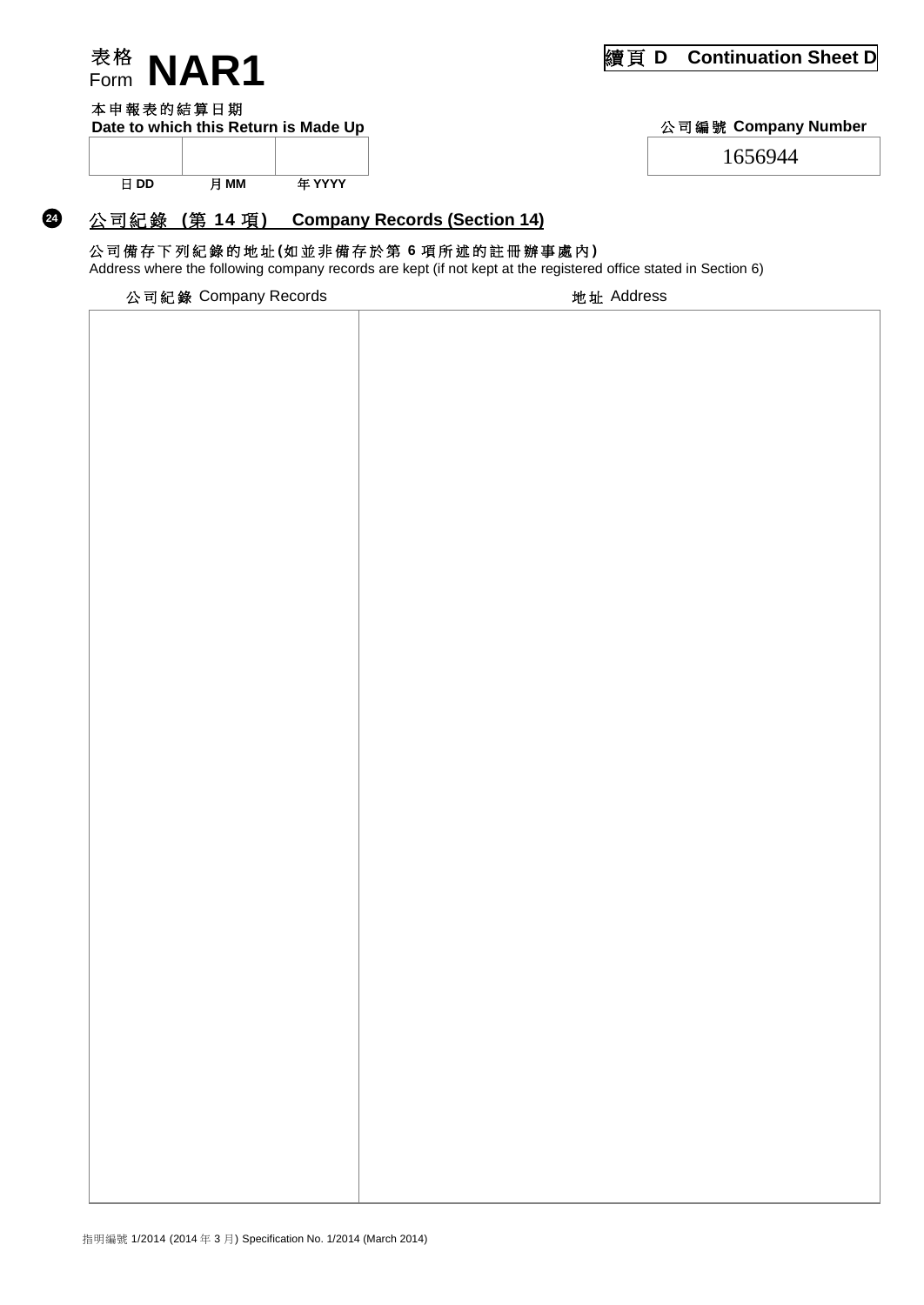

#### 本申報表的結算日期

**24**

Date to which this Return is Made Up **Number** 2012 2013 2014 公司編號 Company Number

1656944

日 DD 月 MM 年 YYYY

#### 公 司 紀 錄 **(**第 **14** 項 **) Company Records (Section 14)**

### 公司備存 下 列 紀 錄 的 地 址 **(**如並非備存於 第 **6** 項 所 述 的 註 冊 辦 事 處 內 **)**

Address where the following company records are kept (if not kept at the registered office stated in Section 6)

| 公司紀錄 Company Records | 地址 Address |
|----------------------|------------|
|                      |            |
|                      |            |
|                      |            |
|                      |            |
|                      |            |
|                      |            |
|                      |            |
|                      |            |
|                      |            |
|                      |            |
|                      |            |
|                      |            |
|                      |            |
|                      |            |
|                      |            |
|                      |            |
|                      |            |
|                      |            |
|                      |            |
|                      |            |
|                      |            |
|                      |            |
|                      |            |
|                      |            |
|                      |            |
|                      |            |
|                      |            |
|                      |            |
|                      |            |
|                      |            |
|                      |            |
|                      |            |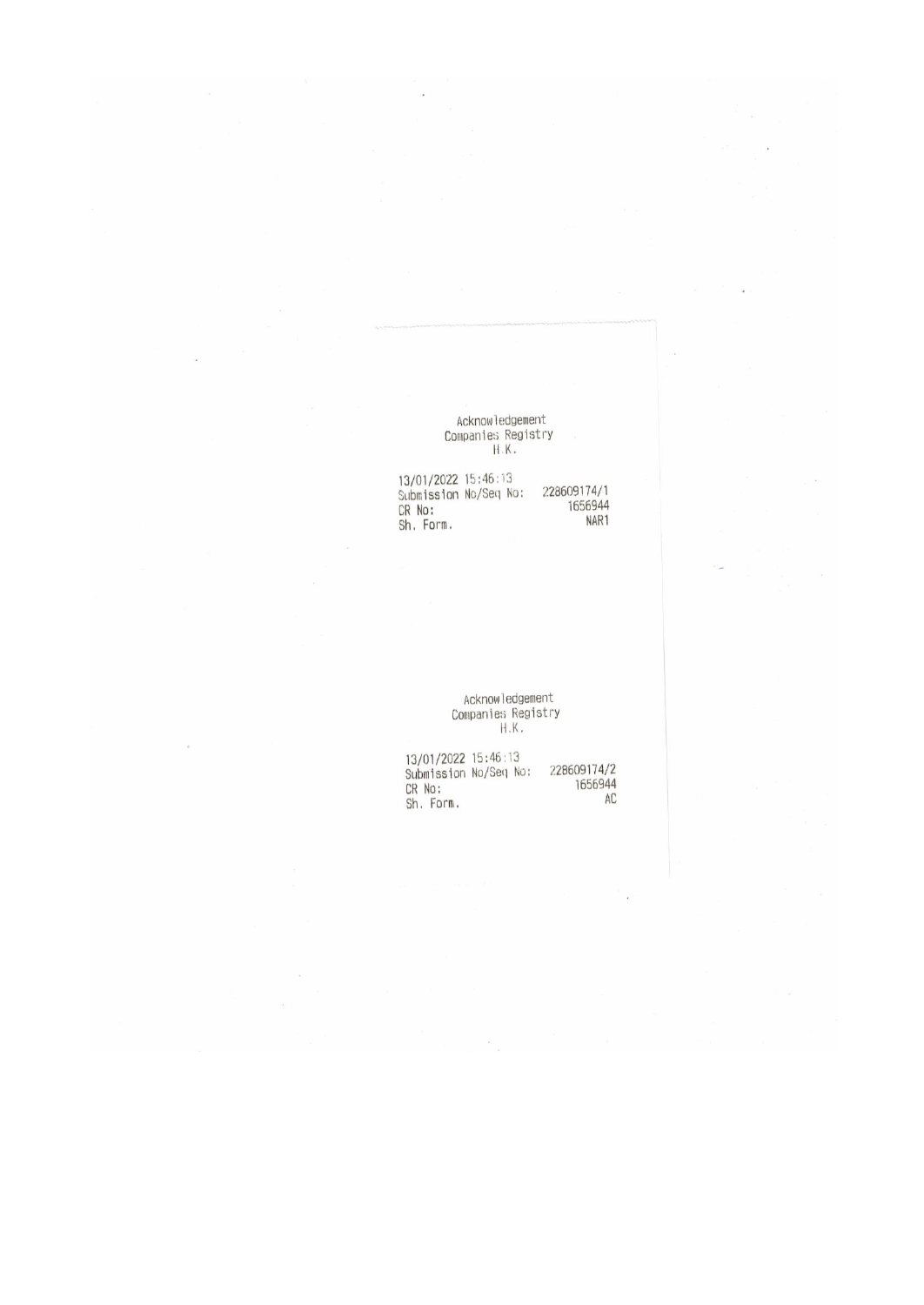# Acknowledgement<br>Companies Registry<br>H.K.

13/01/2022 15:46:13<br>Submission No/Seq No:<br>CR No:<br>Sh. Form. 228609174/1<br>1656944 NAR1

Acknowledgement<br>Companies Registry<br>H.K.

13/01/2022 15:46:13<br>Submission No/Seq No: 228609174/2<br>CR No: 1656944<br>Sh. Form. AC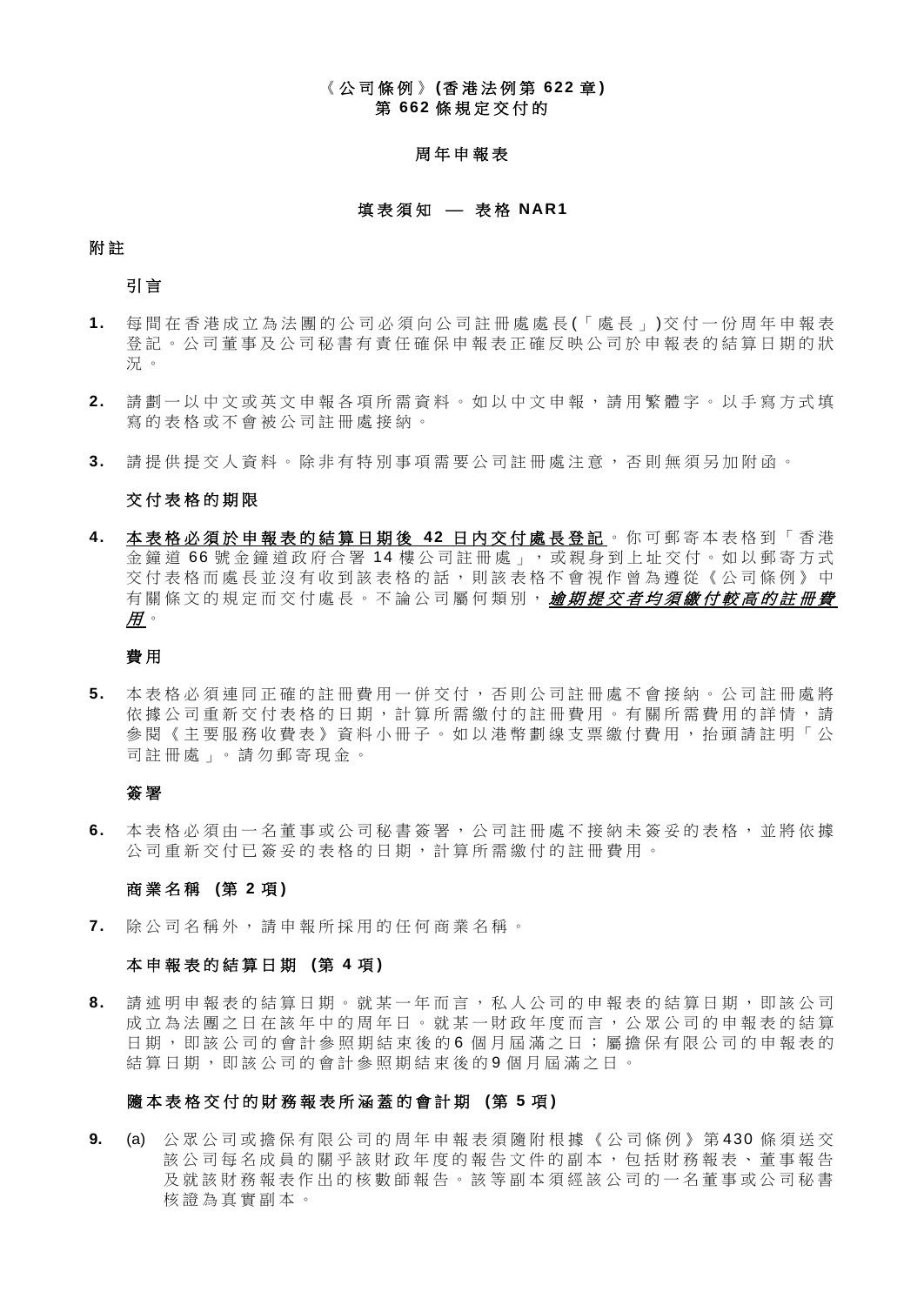#### 《 公 司 條 例 》 **(**香 港 法 例 第 **622** 章 **)** 第 **662** 條 規 定 交 付 的

#### 周 年 申 報 表

#### 填表須知 – 表格 NAR1

#### 附 註

引 言

- **1.** 每 間 在香港成立為法團的 公司必須向公司註冊處處長 (「處長」 )交 付 一份周年申報表 登 記 。 公 司 董 事 及 公 司 秘 書 有 責 任 確 保 申 報 表 正 確 反 映 公 司 於 申 報 表 的 結 算 日 期 的 狀 況 。
- **2.** 請 劃 一 以 中 文 或 英 文 申 報 各 項 所 需 資 料 。 如 以 中 文 申 報 , 請 用 繁 體 字 。 以 手 寫 方 式 填 寫 的 表 格 或 不 會 被 公 司 註 冊 處 接納。
- 3. 請提供提交人資料。除非有特別事項需要公司註冊處注意,否則無須另加附函。

#### 交 付 表 格 的 期 限

**4.** 本 表 格 必 須 於 申 報 表 的 結 算 日 期 後 **42** 日 內 交 付 處 長 登 記 。 你可郵寄 本 表 格 到 「 香 港 金鐘道 66 號金鐘道政府合署 14 樓公司註冊處」,或親身到上址交付。如以郵寄方式 交 付 表 格 而 處 長 並 沒 有 收 到 該 表 格 的 話 , 則 該 表 格 不 會 視 作 曾 為 遵 從 《 公 司 條 例 》 中 有關條文的規定而交付處長。不論公司屬何類別, *逾期提交者均須繳付較高的註冊費*  $H \sim$ 

#### 費 用

**5.** 本 表 格 必 須 連 同 正 確 的 註 冊 費 用 一 併 交 付 , 否 則 公 司 註 冊 處 不 會 接 納 。 公 司 註 冊 處 將 依據公司重新交付表格的日期,計算所需繳付的註冊費用。有關所需費用的詳情,請 參 閱 《 主 要 服 務 收 費 表 》 資 料 小 冊 子 。 如 以 港 幣 劃 線 支 票 繳 付 費 用 , 抬 頭 請 註 明 「 公 司註冊處 」。 請 勿 郵 寄 現 金 。

#### 簽 署

**6.** 本 表 格 必 須 由 一 名 董 事 或 公 司 秘 書 簽 署 , 公 司 註 冊 處 不 接 納 未 簽 妥 的 表 格 , 並 將 依 據 公司重新 交 付 已 簽 妥 的 表 格 的 日 期 , 計 算 所 需 繳 付 的 註 冊 費 用 。

#### 商 業 名 稱 **(**第 **2** 項 **)**

**7.** 除 公 司 名 稱 外 , 請 申 報 所 採 用 的 任 何 商 業 名 稱 。

#### 本 申 報 表 的 結 算 日 期 **(**第 **4** 項 **)**

**8.** 請 述 明 申 報 表 的 結 算 日 期 。 就 某 一 年 而 言 , 私 人 公 司 的 申 報 表 的結算 日 期 , 即 該 公 司 成 立 為 法 團 之 日 在 該 年 中 的 周 年 日 。 就 某 一 財 政 年 度 而 言 , 公 眾 公 司 的 申 報 表 的 結 算 日期, 即該公司的會計參照期結束後的6個月屆滿之日; 屬擔保有限公司的申報表的 結 算 日 期 , 即 該 公 司 的 會 計 參 照 期 結 束 後 的 9 個 月 屆 滿 之 日 。

#### 隨 本 表 格 交 付 的 財 務 報 表 所 涵 蓋 的 會 計 期 **(**第 **5** 項 **)**

**9.** (a) 公 眾 公 司 或 擔 保 有 限 公 司 的 周 年 申 報 表 須 隨 附 根 據 《 公 司 條 例 》 第 430 條 須 送 交 該公司每名成員的關乎該財政年度的報告文件的副本,包括財務報表、董事報告 及 就 該 財 務 報 表 作 出 的 核 數 師 報 告 。 該 等 副 本 須 經 該 公 司 的 一 名 董 事 或 公 司 秘 書 核 證 為 真 實 副 本 。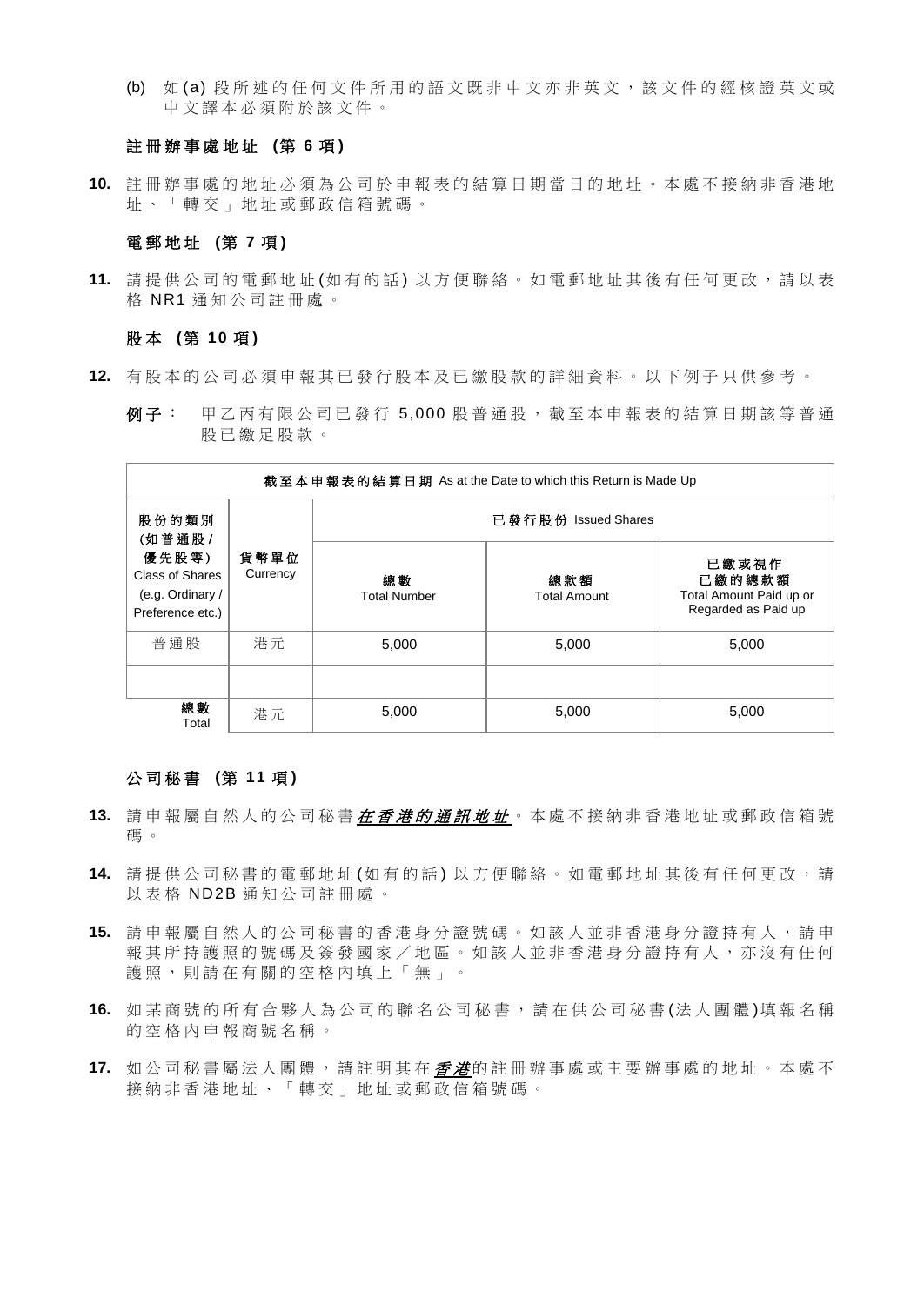(b) 如 (a) 段 所 述 的 任 何 文 件 所 用 的 語 文 既 非 中 文 亦 非 英 文 , 該 文 件 的 經 核 證 英 文 或 中 文 譯 本 必 須 附 於 該 文 件 。

#### 註 冊 辦 事 處 地 址 **(**第 **6** 項 **)**

**10.** 註 冊 辦 事 處 的 地 址 必 須 為 公 司 於 申 報 表 的 結 算 日 期 當 日 的 地 址 。 本 處 不 接 納 非 香 港 地 址 、 「 轉 交 」 地 址 或 郵 政 信 箱 號 碼 。

#### 電 郵 地 址 **(**第 **7** 項 **)**

**11.** 請 提 供 公 司 的 電 郵 地 址 (如有的話 ) 以 方 便 聯 絡 。 如 電 郵 地 址 其 後 有 任 何 更 改 , 請 以 表 格 NR1 通 知 公 司 註 冊 處 。

#### 股 本 **(**第 **10** 項 **)**

- **12.** 有 股 本 的 公 司 必 須 申 報 其 已 發 行 股 本 及 已 繳 股 款 的 詳 細 資 料 。 以 下 例 子 只 供 參 考 。
	- 例子: 甲乙丙有限公司已發行 5,000 股普通股,截至本申報表的結算日期該等普通 股 已 繳 足 股 款 。

| 截至本申報表的結算日期 As at the Date to which this Return is Made Up       |                  |                           |                            |                                                                   |  |  |  |  |  |
|------------------------------------------------------------------|------------------|---------------------------|----------------------------|-------------------------------------------------------------------|--|--|--|--|--|
| 股份的類別<br>(如普通股/                                                  |                  | 已發行股份 Issued Shares       |                            |                                                                   |  |  |  |  |  |
| 優先股等)<br>Class of Shares<br>(e.g. Ordinary /<br>Preference etc.) | 貨幣單位<br>Currency | 總數<br><b>Total Number</b> | 總款額<br><b>Total Amount</b> | 已繳或視作<br>已繳的總款額<br>Total Amount Paid up or<br>Regarded as Paid up |  |  |  |  |  |
| 普通股                                                              | 港元               | 5,000                     | 5,000                      | 5,000                                                             |  |  |  |  |  |
|                                                                  |                  |                           |                            |                                                                   |  |  |  |  |  |
| 總數<br>Total                                                      | 港元               | 5,000                     | 5,000                      | 5,000                                                             |  |  |  |  |  |

#### 公 司 秘 書 **(**第 **11** 項 **)**

- **13.** 請 申 報 屬 自 然 人 的 公 司 秘 書 在香港 的 通 訊 地 址 。 本處不接納 非 香 港 地 址 或 郵 政 信 箱 號 碼 。
- **14.** 請提供 公 司 秘 書 的 電 郵 地 址 (如 有 的 話 ) 以 方 便 聯 絡 。 如 電 郵 地 址 其 後 有 任 何 更 改 , 請 以表格 ND2B 通知公司註冊處。
- **15.** 請 申 報 屬 自 然 人 的 公 司 秘 書 的 香 港 身 分 證 號 碼 。 如 該 人 並 非 香 港 身 分 證 持 有 人 , 請 申 報 其 所 持 護 照 的 號 碼 及 簽 發 國 家 / 地 區 。 如 該 人 並 非 香 港 身 分 證 持 有 人 , 亦 沒 有 任 何 護照,則請在有關的空格內填上「無」。
- **16.** 如 某商號的所有合夥人 為 公 司 的聯名 公 司 秘書,請在 供 公 司 秘 書 (法人團體 )填報名稱 的空格内申報商號名稱。
- 17. 如公司秘書屬法人團體,請註明其在*香港*的註冊辦事處或主要辦事處的地址。本處不 接納非香港地址、「轉交」地址或郵政信箱號碼。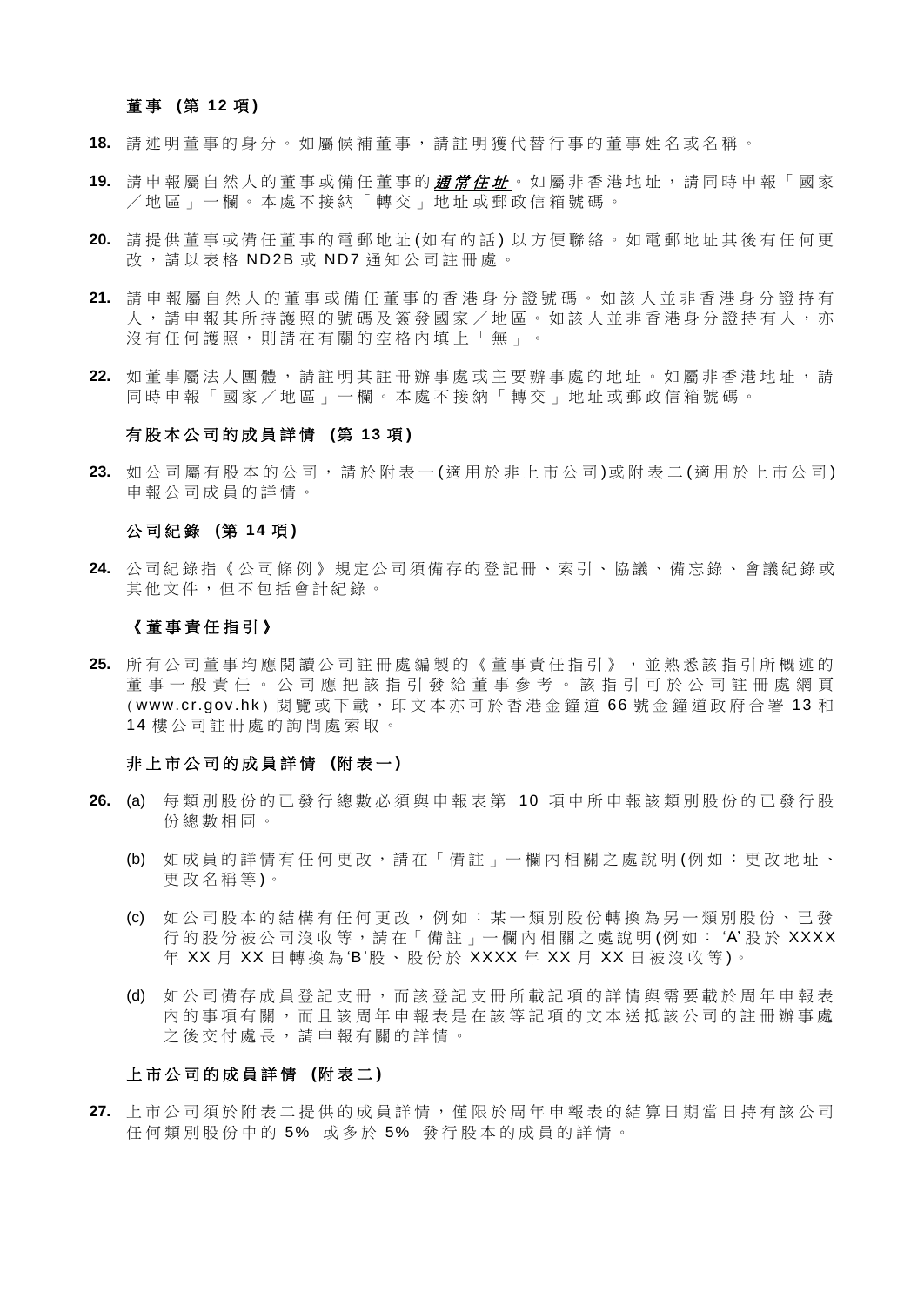#### 董事 (第 12 項)

- **18.** 請 述 明 董 事 的 身 分 。 如 屬 候 補 董 事 , 請 註 明 獲 代 替 行 事 的 董 事 姓 名 或 名 稱 。
- **19.** 請 申 報 屬 自 然 人 的 董 事 或 備 任 董 事 的 通 常 住 址 。 如 屬 非 香 港 地 址 , 請 同 時 申 報 「 國 家 /地區 」 一 欄 。 本 處 不 接 納 「 轉 交 」 地 址 或 郵 政 信 箱 號 碼 。
- **20.** 請 提 供 董 事 或 備 任 董 事 的 電 郵 地 址 (如 有 的 話 ) 以 方 便 聯 絡 。 如 電 郵 地 址 其 後 有 任 何 更 改,請以表格 ND2B 或 ND7 通知公司註冊處。
- **21.** 請 申 報 屬 自 然 人 的 董 事 或 備 任 董 事 的 香 港 身 分 證 號 碼 。 如 該 人 並非香港身 分 證 持 有 人,請 申 報 其 所 持 護 照 的 號 碼 及 簽 發 國 家 / 地 區 。 如 該 人 並 非 香 港 身 分 證 持 有 人 , 亦 沒有 任 何 護 照 , 則 請 在 有 關 的 空 格 内 埴 上 「 無 」。
- **22.** 如 董 事 屬 法 人 團 體 , 請 註 明 其 註 冊 辦 事 處 或 主 要 辦 事 處 的 地 址 。 如 屬 非 香 港 地 址 , 請 同 時 申 報 「國家 / 地 區 」 一 欄 。 本 處 不 接 納 「 轉 交 」 地 址 或 郵 政 信 箱 號 碼 。

#### 有 股 本 公 司 的 成 員 詳 情 **(**第 **13** 項 **)**

**23.** 如 公 司 屬 有 股 本 的 公 司 , 請 於 附 表 一 (適 用 於 非 上 市 公 司 )或附表二 (適 用 於 上 市公司 ) 申 報 公 司 成 員 的 詳 情 。

#### 公 司 紀 錄 **(**第 **14** 項 **)**

**24.** 公司紀錄指 《 公 司 條 例 》 規定公司須備存的登記冊、索引、協議、備忘錄、會議紀錄或 其他文件,但不包括會計紀錄 。

#### 《 董 事 責 任 指 引 》

**25.** 所 有 公 司 董 事 均 應 閱 讀 公 司 註 冊 處 編 製 的 《 董 事 責 任 指 引 》 , 並 熟 悉 該 指 引 所 概 述 的 董事一般責任 。 公 司 應 把 該 指 引 發 給 董 事 參 考 。 該指引 可 於 公 司 註冊處網 頁 (www.cr.gov.hk) 閱覽或下載, 印文本亦可於香港金鐘道 66 號金鐘道政府合署 13 和 14 樓公司註冊處的詢問處索取。

#### 非 上 市 公 司 的 成 員 詳 情 **(**附 表 一 **)**

- **26.** (a) 每 類 別 股 份 的 已 發 行 總 數 必 須 與 申 報 表 第 10 項 中 所 申 報 該 類 別 股 份 的 已 發 行 股 份 總 數 相 同 。
	- (b) 如成員的 詳 情 有 任 何 更 改 , 請 在「 備 註 」 一 欄 內 相 關 之 處 說 明 (例 如 : 更 改 地 址 、 更改名稱 等 )。
	- (c) 如 公 司 股 本 的 結 構 有 任 何 更 改 , 例 如 : 某 一 類 別 股 份 轉 換 為 另 一 類 別 股 份 、 已 發 行的股份被公司沒收等,請在「備註」一欄內相關之處說明(例如: 'A' 股於 XXXX 年 XX 月 XX 日轉換為'B'股、股份於 XXXX 年 XX 月 XX 日被沒收等)。
	- (d) 如 公 司 備 存 成 員 登 記 支 冊 , 而 該 登 記 支 冊 所 載 記 項 的 詳 情 與 需 要 載 於 周 年 申 報 表 內 的 事 項 有 關 , 而 且 該 周 年 申 報 表 是 在 該 等 記 項 的 文 本 送 抵 該 公 司 的 註 冊 辦 事 處 之 後 交 付 處 長 , 請 申 報 有 關 的 詳 情 。

#### 上 市 公 司 的 成 員 詳 情 **(**附 表 二 **)**

**27.** 上市公司 須 於 附 表 二 提 供 的 成 員 詳 情 , 僅 限 於 周 年 申 報 表 的 結 算 日 期 當 日 持 有 該 公 司 任何類別股份中的 5% 或多於 5% 發行股本的成員的詳情。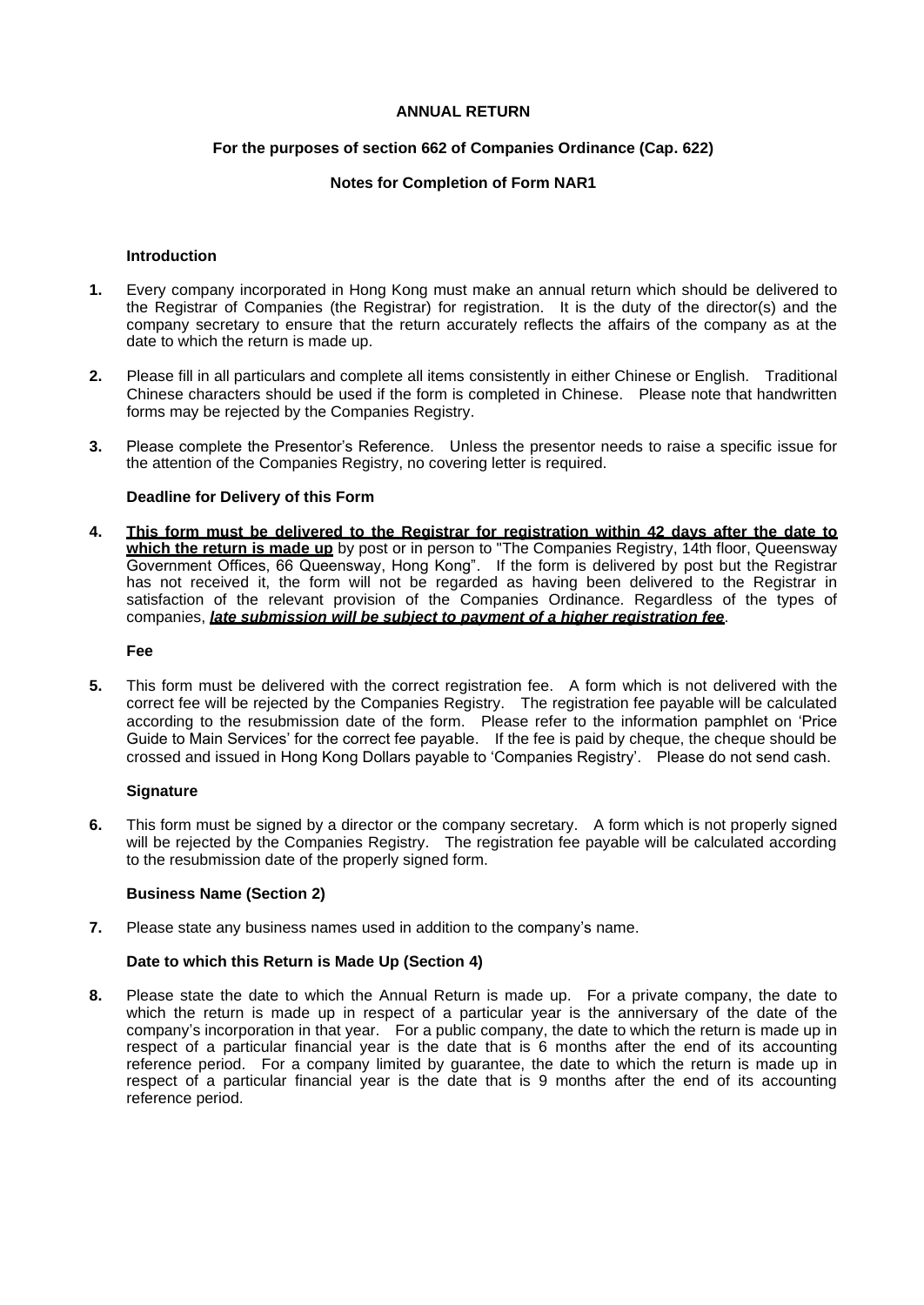#### **ANNUAL RETURN**

#### **For the purposes of section 662 of Companies Ordinance (Cap. 622)**

#### **Notes for Completion of Form NAR1**

#### **Introduction**

- **1.** Every company incorporated in Hong Kong must make an annual return which should be delivered to the Registrar of Companies (the Registrar) for registration. It is the duty of the director(s) and the company secretary to ensure that the return accurately reflects the affairs of the company as at the date to which the return is made up.
- **2.** Please fill in all particulars and complete all items consistently in either Chinese or English. Traditional Chinese characters should be used if the form is completed in Chinese. Please note that handwritten forms may be rejected by the Companies Registry.
- **3.** Please complete the Presentor's Reference. Unless the presentor needs to raise a specific issue for the attention of the Companies Registry, no covering letter is required.

#### **Deadline for Delivery of this Form**

**4. This form must be delivered to the Registrar for registration within 42 days after the date to**  which the return is made up by post or in person to "The Companies Registry, 14th floor, Queensway Government Offices, 66 Queensway, Hong Kong". If the form is delivered by post but the Registrar has not received it, the form will not be regarded as having been delivered to the Registrar in satisfaction of the relevant provision of the Companies Ordinance. Regardless of the types of companies, *late submission will be subject to payment of a higher registration fee*.

#### **Fee**

**5.** This form must be delivered with the correct registration fee. A form which is not delivered with the correct fee will be rejected by the Companies Registry. The registration fee payable will be calculated according to the resubmission date of the form. Please refer to the information pamphlet on 'Price Guide to Main Services' for the correct fee payable. If the fee is paid by cheque, the cheque should be crossed and issued in Hong Kong Dollars payable to 'Companies Registry'. Please do not send cash.

#### **Signature**

**6.** This form must be signed by a director or the company secretary. A form which is not properly signed will be rejected by the Companies Registry. The registration fee payable will be calculated according to the resubmission date of the properly signed form.

#### **Business Name (Section 2)**

**7.** Please state any business names used in addition to the company's name.

#### **Date to which this Return is Made Up (Section 4)**

**8.** Please state the date to which the Annual Return is made up. For a private company, the date to which the return is made up in respect of a particular year is the anniversary of the date of the company's incorporation in that year. For a public company, the date to which the return is made up in respect of a particular financial year is the date that is 6 months after the end of its accounting reference period. For a company limited by guarantee, the date to which the return is made up in respect of a particular financial year is the date that is 9 months after the end of its accounting reference period.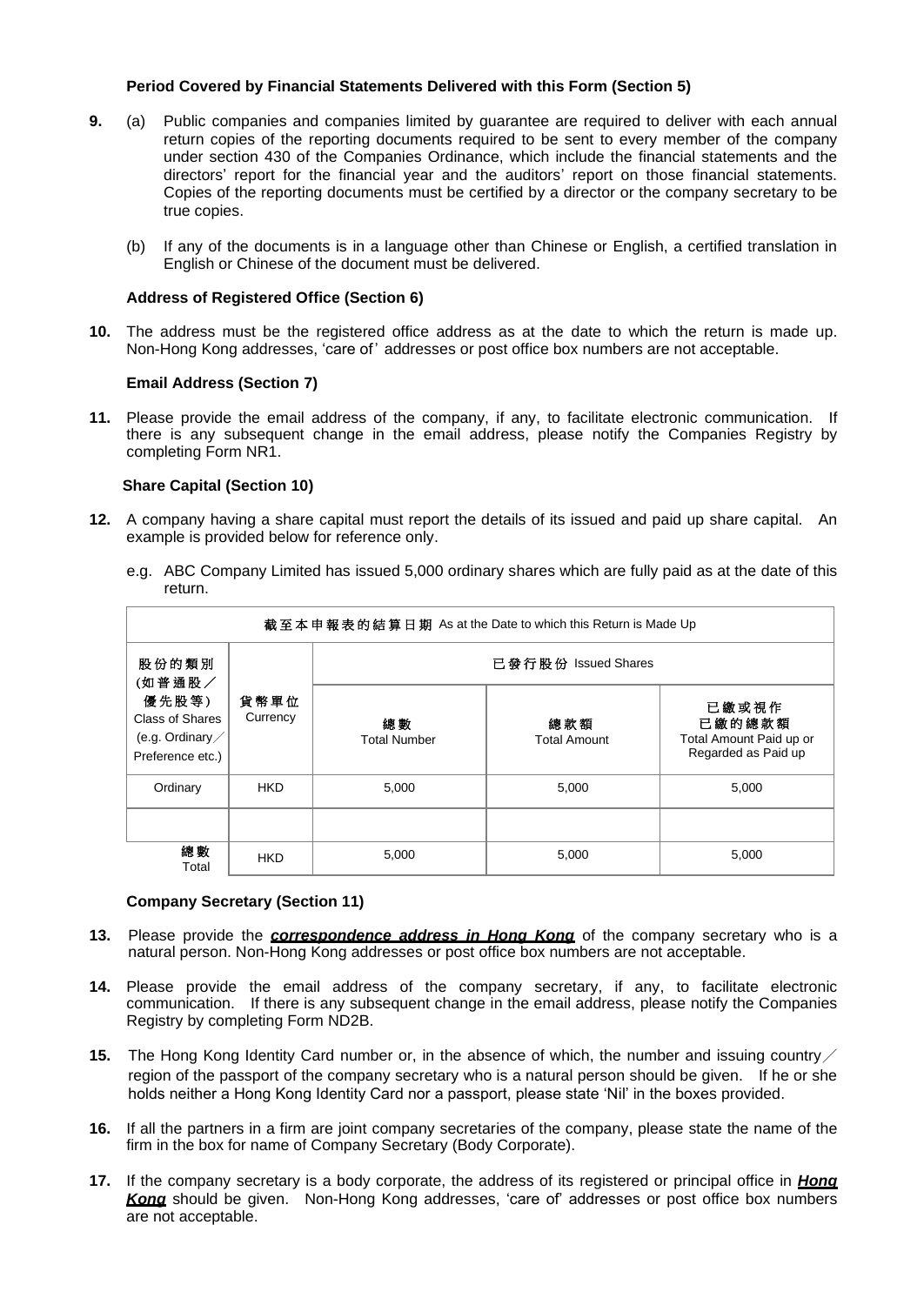#### **Period Covered by Financial Statements Delivered with this Form (Section 5)**

- **9.** (a) Public companies and companies limited by guarantee are required to deliver with each annual return copies of the reporting documents required to be sent to every member of the company under section 430 of the Companies Ordinance, which include the financial statements and the directors' report for the financial year and the auditors' report on those financial statements. Copies of the reporting documents must be certified by a director or the company secretary to be true copies.
	- (b) If any of the documents is in a language other than Chinese or English, a certified translation in English or Chinese of the document must be delivered.

#### **Address of Registered Office (Section 6)**

**10.** The address must be the registered office address as at the date to which the return is made up. Non-Hong Kong addresses, 'care of' addresses or post office box numbers are not acceptable.

#### **Email Address (Section 7)**

**11.** Please provide the email address of the company, if any, to facilitate electronic communication. If there is any subsequent change in the email address, please notify the Companies Registry by completing Form NR1.

#### **Share Capital (Section 10)**

- **12.** A company having a share capital must report the details of its issued and paid up share capital. An example is provided below for reference only.
	- e.g. ABC Company Limited has issued 5,000 ordinary shares which are fully paid as at the date of this return.

| 截至本申報表的結算日期 As at the Date to which this Return is Made Up              |                  |                           |                            |                                                                   |  |  |  |  |  |
|-------------------------------------------------------------------------|------------------|---------------------------|----------------------------|-------------------------------------------------------------------|--|--|--|--|--|
| 股份的類別<br>(如普通股/                                                         |                  | 已發行股份 Issued Shares       |                            |                                                                   |  |  |  |  |  |
| 優先股等)<br>Class of Shares<br>(e.g. Ordinary $\angle$<br>Preference etc.) | 貨幣單位<br>Currency | 總數<br><b>Total Number</b> | 總款額<br><b>Total Amount</b> | 已繳或視作<br>已繳的總款額<br>Total Amount Paid up or<br>Regarded as Paid up |  |  |  |  |  |
| Ordinary                                                                | <b>HKD</b>       | 5,000                     | 5,000                      | 5,000                                                             |  |  |  |  |  |
|                                                                         |                  |                           |                            |                                                                   |  |  |  |  |  |
| 總數<br>Total                                                             | <b>HKD</b>       | 5,000                     | 5,000                      | 5,000                                                             |  |  |  |  |  |

#### **Company Secretary (Section 11)**

- **13.** Please provide the *correspondence address in Hong Kong* of the company secretary who is a natural person. Non-Hong Kong addresses or post office box numbers are not acceptable.
- **14.** Please provide the email address of the company secretary, if any, to facilitate electronic communication. If there is any subsequent change in the email address, please notify the Companies Registry by completing Form ND2B.
- **15.** The Hong Kong Identity Card number or, in the absence of which, the number and issuing country region of the passport of the company secretary who is a natural person should be given. If he or she holds neither a Hong Kong Identity Card nor a passport, please state 'Nil' in the boxes provided.
- **16.** If all the partners in a firm are joint company secretaries of the company, please state the name of the firm in the box for name of Company Secretary (Body Corporate).
- **17.** If the company secretary is a body corporate, the address of its registered or principal office in *Hong Kong* should be given. Non-Hong Kong addresses, 'care of' addresses or post office box numbers are not acceptable.